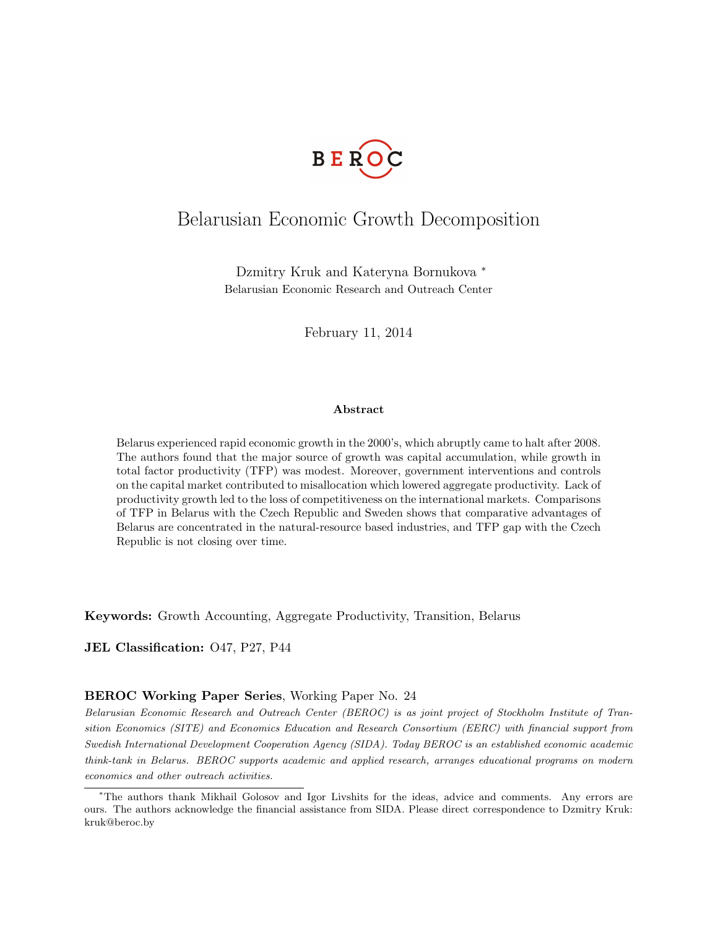

## Belarusian Economic Growth Decomposition

Dzmitry Kruk and Kateryna Bornukova <sup>∗</sup> Belarusian Economic Research and Outreach Center

February 11, 2014

#### Abstract

Belarus experienced rapid economic growth in the 2000's, which abruptly came to halt after 2008. The authors found that the major source of growth was capital accumulation, while growth in total factor productivity (TFP) was modest. Moreover, government interventions and controls on the capital market contributed to misallocation which lowered aggregate productivity. Lack of productivity growth led to the loss of competitiveness on the international markets. Comparisons of TFP in Belarus with the Czech Republic and Sweden shows that comparative advantages of Belarus are concentrated in the natural-resource based industries, and TFP gap with the Czech Republic is not closing over time.

Keywords: Growth Accounting, Aggregate Productivity, Transition, Belarus

JEL Classification: O47, P27, P44

#### BEROC Working Paper Series, Working Paper No. 24

Belarusian Economic Research and Outreach Center (BEROC) is as joint project of Stockholm Institute of Transition Economics (SITE) and Economics Education and Research Consortium (EERC) with financial support from Swedish International Development Cooperation Agency (SIDA). Today BEROC is an established economic academic think-tank in Belarus. BEROC supports academic and applied research, arranges educational programs on modern economics and other outreach activities.

<sup>∗</sup>The authors thank Mikhail Golosov and Igor Livshits for the ideas, advice and comments. Any errors are ours. The authors acknowledge the financial assistance from SIDA. Please direct correspondence to Dzmitry Kruk: kruk@beroc.by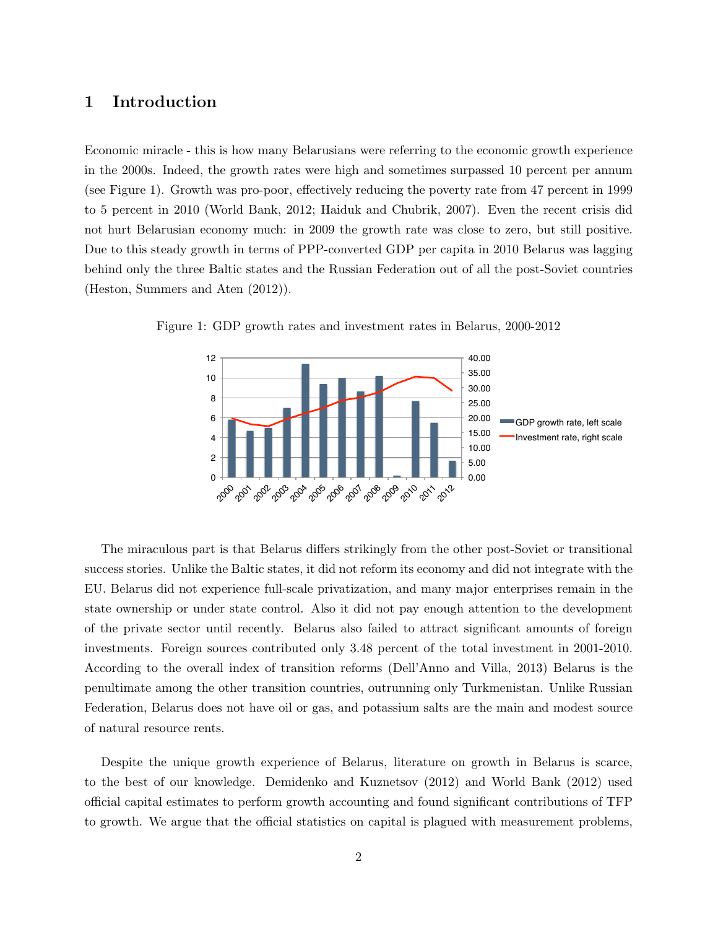### 1 Introduction

Economic miracle - this is how many Belarusians were referring to the economic growth experience in the 2000s. Indeed, the growth rates were high and sometimes surpassed 10 percent per annum (see Figure 1). Growth was pro-poor, effectively reducing the poverty rate from 47 percent in 1999 to 5 percent in 2010 (World Bank, 2012; Haiduk and Chubrik, 2007). Even the recent crisis did not hurt Belarusian economy much: in 2009 the growth rate was close to zero, but still positive. Due to this steady growth in terms of PPP-converted GDP per capita in 2010 Belarus was lagging behind only the three Baltic states and the Russian Federation out of all the post-Soviet countries (Heston, Summers and Aten (2012)).



Figure 1: GDP growth rates and investment rates in Belarus, 2000-2012

The miraculous part is that Belarus differs strikingly from the other post-Soviet or transitional success stories. Unlike the Baltic states, it did not reform its economy and did not integrate with the EU. Belarus did not experience full-scale privatization, and many major enterprises remain in the state ownership or under state control. Also it did not pay enough attention to the development of the private sector until recently. Belarus also failed to attract significant amounts of foreign investments. Foreign sources contributed only 3.48 percent of the total investment in 2001-2010. According to the overall index of transition reforms (Dell'Anno and Villa, 2013) Belarus is the penultimate among the other transition countries, outrunning only Turkmenistan. Unlike Russian Federation, Belarus does not have oil or gas, and potassium salts are the main and modest source of natural resource rents.

Despite the unique growth experience of Belarus, literature on growth in Belarus is scarce, to the best of our knowledge. Demidenko and Kuznetsov (2012) and World Bank (2012) used official capital estimates to perform growth accounting and found significant contributions of TFP to growth. We argue that the official statistics on capital is plagued with measurement problems,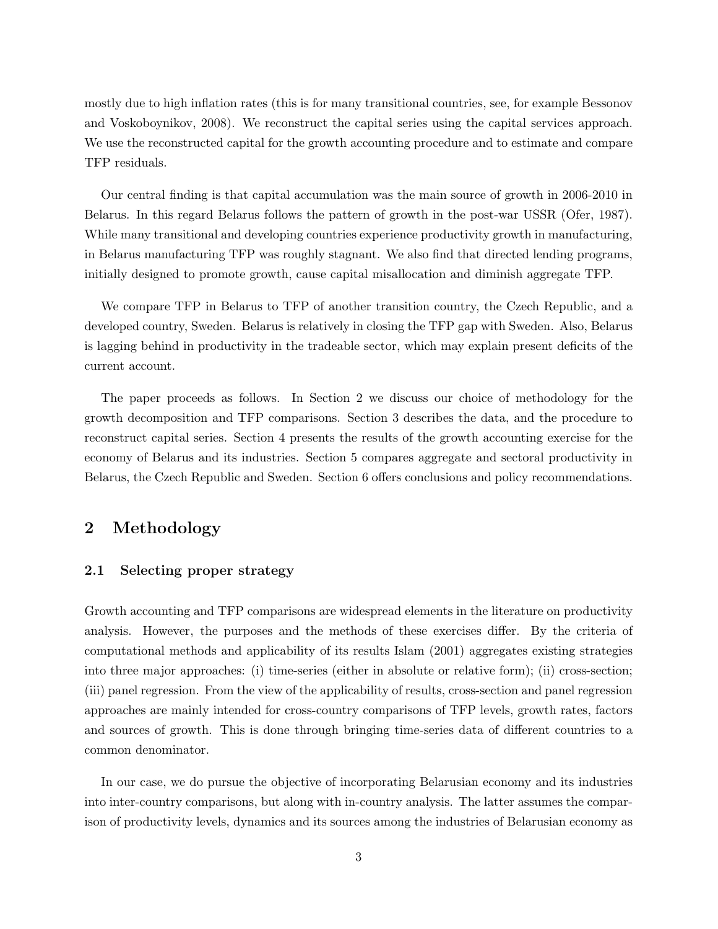mostly due to high inflation rates (this is for many transitional countries, see, for example Bessonov and Voskoboynikov, 2008). We reconstruct the capital series using the capital services approach. We use the reconstructed capital for the growth accounting procedure and to estimate and compare TFP residuals.

Our central finding is that capital accumulation was the main source of growth in 2006-2010 in Belarus. In this regard Belarus follows the pattern of growth in the post-war USSR (Ofer, 1987). While many transitional and developing countries experience productivity growth in manufacturing, in Belarus manufacturing TFP was roughly stagnant. We also find that directed lending programs, initially designed to promote growth, cause capital misallocation and diminish aggregate TFP.

We compare TFP in Belarus to TFP of another transition country, the Czech Republic, and a developed country, Sweden. Belarus is relatively in closing the TFP gap with Sweden. Also, Belarus is lagging behind in productivity in the tradeable sector, which may explain present deficits of the current account.

The paper proceeds as follows. In Section 2 we discuss our choice of methodology for the growth decomposition and TFP comparisons. Section 3 describes the data, and the procedure to reconstruct capital series. Section 4 presents the results of the growth accounting exercise for the economy of Belarus and its industries. Section 5 compares aggregate and sectoral productivity in Belarus, the Czech Republic and Sweden. Section 6 offers conclusions and policy recommendations.

### 2 Methodology

### 2.1 Selecting proper strategy

Growth accounting and TFP comparisons are widespread elements in the literature on productivity analysis. However, the purposes and the methods of these exercises differ. By the criteria of computational methods and applicability of its results Islam (2001) aggregates existing strategies into three major approaches: (i) time-series (either in absolute or relative form); (ii) cross-section; (iii) panel regression. From the view of the applicability of results, cross-section and panel regression approaches are mainly intended for cross-country comparisons of TFP levels, growth rates, factors and sources of growth. This is done through bringing time-series data of different countries to a common denominator.

In our case, we do pursue the objective of incorporating Belarusian economy and its industries into inter-country comparisons, but along with in-country analysis. The latter assumes the comparison of productivity levels, dynamics and its sources among the industries of Belarusian economy as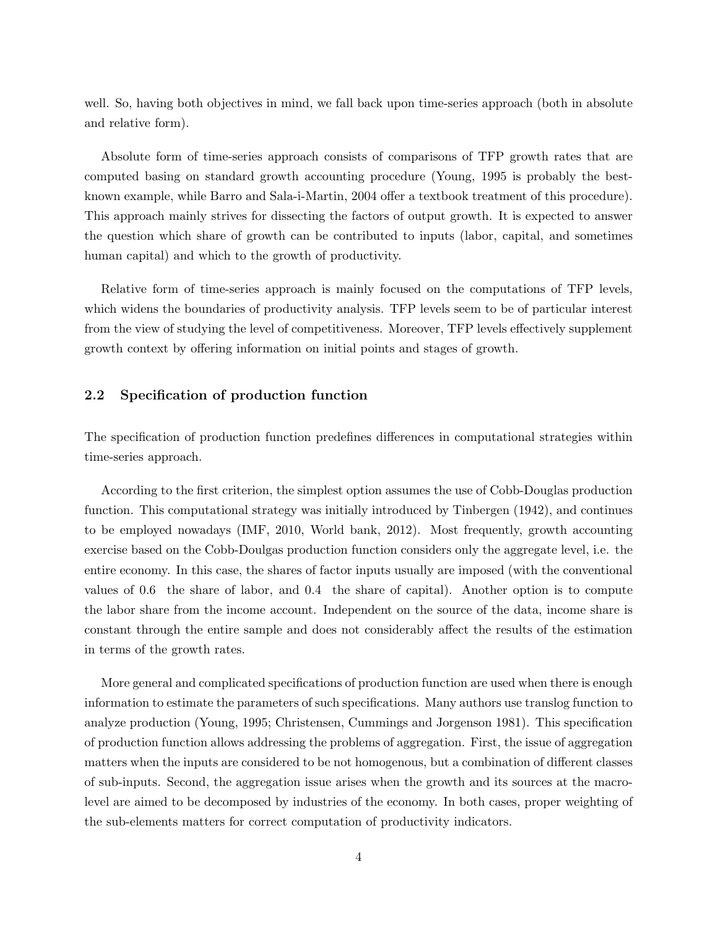well. So, having both objectives in mind, we fall back upon time-series approach (both in absolute and relative form).

Absolute form of time-series approach consists of comparisons of TFP growth rates that are computed basing on standard growth accounting procedure (Young, 1995 is probably the bestknown example, while Barro and Sala-i-Martin, 2004 offer a textbook treatment of this procedure). This approach mainly strives for dissecting the factors of output growth. It is expected to answer the question which share of growth can be contributed to inputs (labor, capital, and sometimes human capital) and which to the growth of productivity.

Relative form of time-series approach is mainly focused on the computations of TFP levels, which widens the boundaries of productivity analysis. TFP levels seem to be of particular interest from the view of studying the level of competitiveness. Moreover, TFP levels effectively supplement growth context by offering information on initial points and stages of growth.

### 2.2 Specification of production function

The specification of production function predefines differences in computational strategies within time-series approach.

According to the first criterion, the simplest option assumes the use of Cobb-Douglas production function. This computational strategy was initially introduced by Tinbergen (1942), and continues to be employed nowadays (IMF, 2010, World bank, 2012). Most frequently, growth accounting exercise based on the Cobb-Doulgas production function considers only the aggregate level, i.e. the entire economy. In this case, the shares of factor inputs usually are imposed (with the conventional values of 0.6 the share of labor, and 0.4 the share of capital). Another option is to compute the labor share from the income account. Independent on the source of the data, income share is constant through the entire sample and does not considerably affect the results of the estimation in terms of the growth rates.

More general and complicated specifications of production function are used when there is enough information to estimate the parameters of such specifications. Many authors use translog function to analyze production (Young, 1995; Christensen, Cummings and Jorgenson 1981). This specification of production function allows addressing the problems of aggregation. First, the issue of aggregation matters when the inputs are considered to be not homogenous, but a combination of different classes of sub-inputs. Second, the aggregation issue arises when the growth and its sources at the macrolevel are aimed to be decomposed by industries of the economy. In both cases, proper weighting of the sub-elements matters for correct computation of productivity indicators.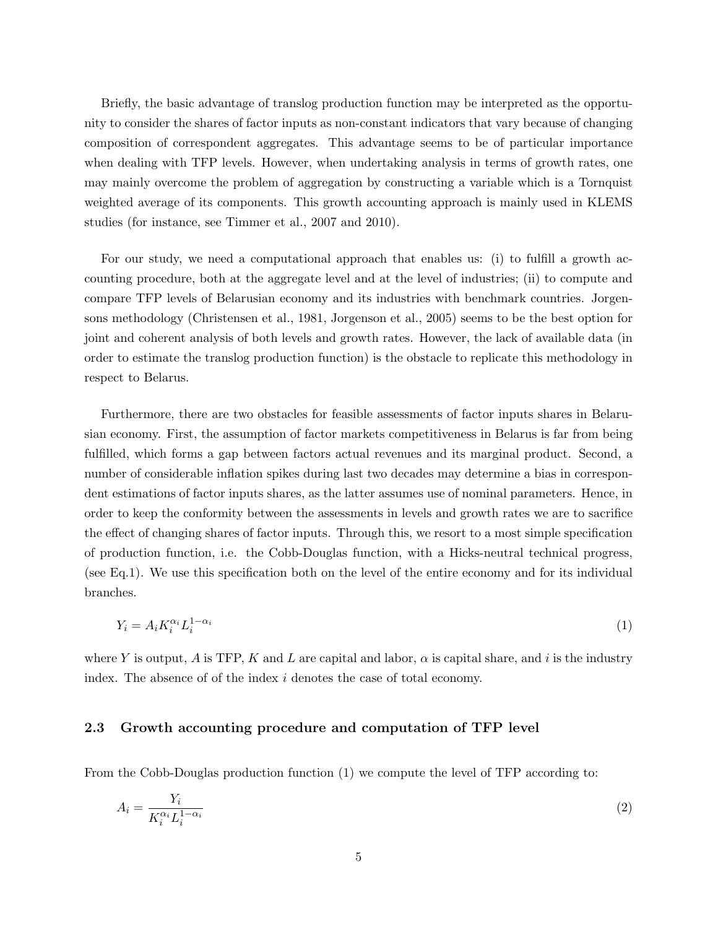Briefly, the basic advantage of translog production function may be interpreted as the opportunity to consider the shares of factor inputs as non-constant indicators that vary because of changing composition of correspondent aggregates. This advantage seems to be of particular importance when dealing with TFP levels. However, when undertaking analysis in terms of growth rates, one may mainly overcome the problem of aggregation by constructing a variable which is a Tornquist weighted average of its components. This growth accounting approach is mainly used in KLEMS studies (for instance, see Timmer et al., 2007 and 2010).

For our study, we need a computational approach that enables us: (i) to fulfill a growth accounting procedure, both at the aggregate level and at the level of industries; (ii) to compute and compare TFP levels of Belarusian economy and its industries with benchmark countries. Jorgensons methodology (Christensen et al., 1981, Jorgenson et al., 2005) seems to be the best option for joint and coherent analysis of both levels and growth rates. However, the lack of available data (in order to estimate the translog production function) is the obstacle to replicate this methodology in respect to Belarus.

Furthermore, there are two obstacles for feasible assessments of factor inputs shares in Belarusian economy. First, the assumption of factor markets competitiveness in Belarus is far from being fulfilled, which forms a gap between factors actual revenues and its marginal product. Second, a number of considerable inflation spikes during last two decades may determine a bias in correspondent estimations of factor inputs shares, as the latter assumes use of nominal parameters. Hence, in order to keep the conformity between the assessments in levels and growth rates we are to sacrifice the effect of changing shares of factor inputs. Through this, we resort to a most simple specification of production function, i.e. the Cobb-Douglas function, with a Hicks-neutral technical progress, (see Eq.1). We use this specification both on the level of the entire economy and for its individual branches.

$$
Y_i = A_i K_i^{\alpha_i} L_i^{1-\alpha_i} \tag{1}
$$

where Y is output, A is TFP, K and L are capital and labor,  $\alpha$  is capital share, and i is the industry index. The absence of of the index i denotes the case of total economy.

### 2.3 Growth accounting procedure and computation of TFP level

From the Cobb-Douglas production function (1) we compute the level of TFP according to:

$$
A_i = \frac{Y_i}{K_i^{\alpha_i} L_i^{1-\alpha_i}}\tag{2}
$$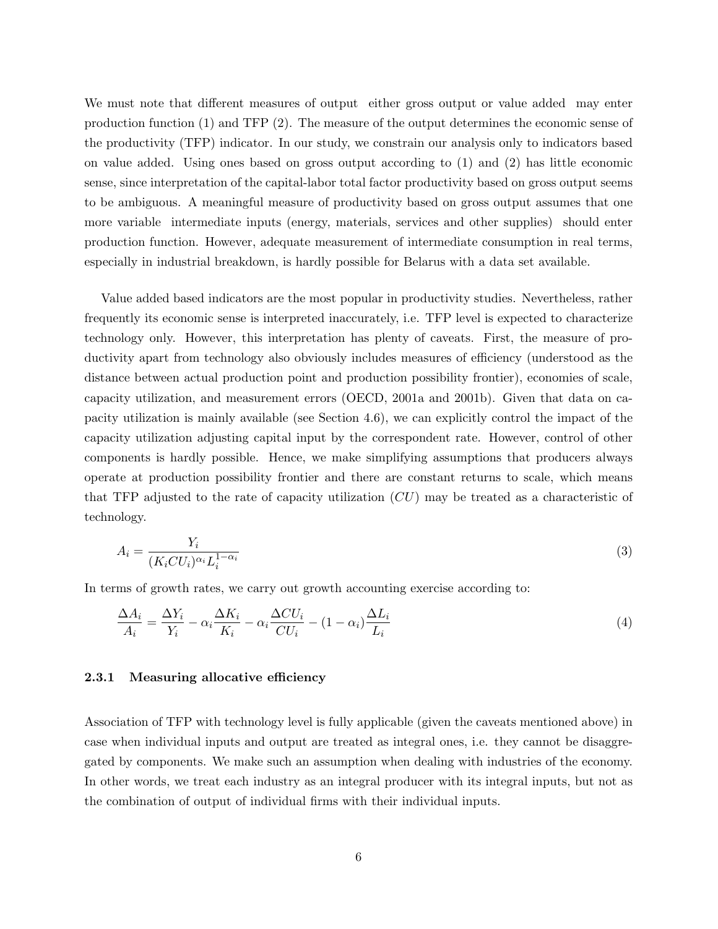We must note that different measures of output either gross output or value added may enter production function (1) and TFP (2). The measure of the output determines the economic sense of the productivity (TFP) indicator. In our study, we constrain our analysis only to indicators based on value added. Using ones based on gross output according to (1) and (2) has little economic sense, since interpretation of the capital-labor total factor productivity based on gross output seems to be ambiguous. A meaningful measure of productivity based on gross output assumes that one more variable intermediate inputs (energy, materials, services and other supplies) should enter production function. However, adequate measurement of intermediate consumption in real terms, especially in industrial breakdown, is hardly possible for Belarus with a data set available.

Value added based indicators are the most popular in productivity studies. Nevertheless, rather frequently its economic sense is interpreted inaccurately, i.e. TFP level is expected to characterize technology only. However, this interpretation has plenty of caveats. First, the measure of productivity apart from technology also obviously includes measures of efficiency (understood as the distance between actual production point and production possibility frontier), economies of scale, capacity utilization, and measurement errors (OECD, 2001a and 2001b). Given that data on capacity utilization is mainly available (see Section 4.6), we can explicitly control the impact of the capacity utilization adjusting capital input by the correspondent rate. However, control of other components is hardly possible. Hence, we make simplifying assumptions that producers always operate at production possibility frontier and there are constant returns to scale, which means that TFP adjusted to the rate of capacity utilization  $(CU)$  may be treated as a characteristic of technology.

$$
A_i = \frac{Y_i}{(K_i C U_i)^{\alpha_i} L_i^{1-\alpha_i}}\tag{3}
$$

In terms of growth rates, we carry out growth accounting exercise according to:

$$
\frac{\Delta A_i}{A_i} = \frac{\Delta Y_i}{Y_i} - \alpha_i \frac{\Delta K_i}{K_i} - \alpha_i \frac{\Delta C U_i}{C U_i} - (1 - \alpha_i) \frac{\Delta L_i}{L_i}
$$
\n
$$
\tag{4}
$$

#### 2.3.1 Measuring allocative efficiency

Association of TFP with technology level is fully applicable (given the caveats mentioned above) in case when individual inputs and output are treated as integral ones, i.e. they cannot be disaggregated by components. We make such an assumption when dealing with industries of the economy. In other words, we treat each industry as an integral producer with its integral inputs, but not as the combination of output of individual firms with their individual inputs.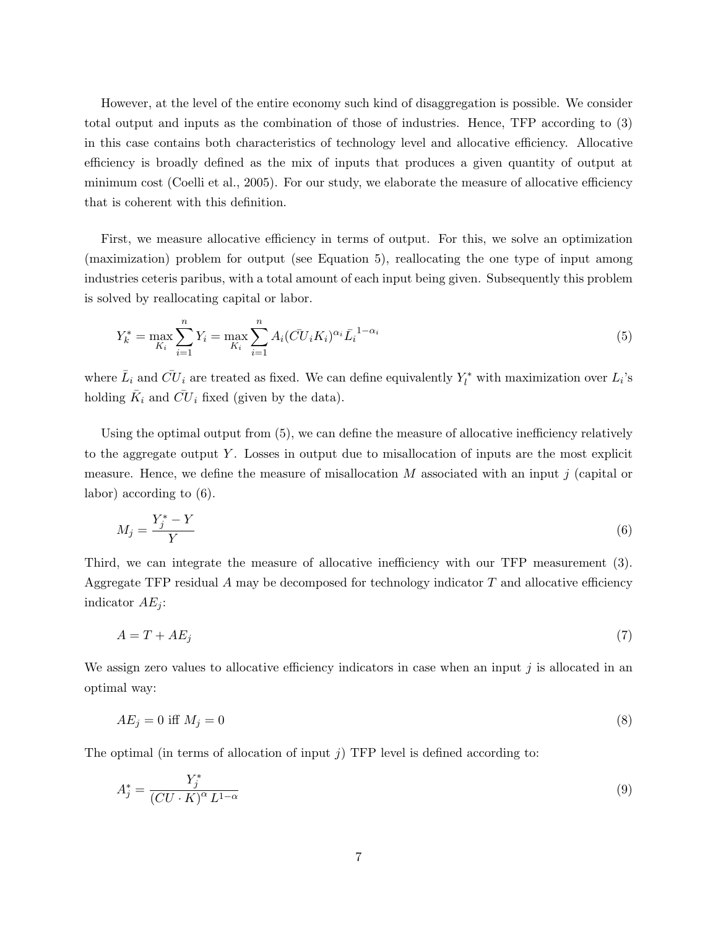However, at the level of the entire economy such kind of disaggregation is possible. We consider total output and inputs as the combination of those of industries. Hence, TFP according to (3) in this case contains both characteristics of technology level and allocative efficiency. Allocative efficiency is broadly defined as the mix of inputs that produces a given quantity of output at minimum cost (Coelli et al., 2005). For our study, we elaborate the measure of allocative efficiency that is coherent with this definition.

First, we measure allocative efficiency in terms of output. For this, we solve an optimization (maximization) problem for output (see Equation 5), reallocating the one type of input among industries ceteris paribus, with a total amount of each input being given. Subsequently this problem is solved by reallocating capital or labor.

$$
Y_k^* = \max_{K_i} \sum_{i=1}^n Y_i = \max_{K_i} \sum_{i=1}^n A_i (\bar{C} U_i K_i)^{\alpha_i} \bar{L}_i^{1-\alpha_i}
$$
(5)

where  $\bar{L}_i$  and  $\bar{CU}_i$  are treated as fixed. We can define equivalently  $Y_l^*$  with maximization over  $L_i$ 's holding  $\overline{K}_i$  and  $\overline{CU}_i$  fixed (given by the data).

Using the optimal output from (5), we can define the measure of allocative inefficiency relatively to the aggregate output Y. Losses in output due to misallocation of inputs are the most explicit measure. Hence, we define the measure of misallocation  $M$  associated with an input  $j$  (capital or labor) according to (6).

$$
M_j = \frac{Y_j^* - Y}{Y} \tag{6}
$$

Third, we can integrate the measure of allocative inefficiency with our TFP measurement (3). Aggregate TFP residual  $A$  may be decomposed for technology indicator  $T$  and allocative efficiency indicator  $AE_i$ :

$$
A = T + AE_j \tag{7}
$$

We assign zero values to allocative efficiency indicators in case when an input  $j$  is allocated in an optimal way:

$$
AE_j = 0 \text{ iff } M_j = 0 \tag{8}
$$

The optimal (in terms of allocation of input  $j$ ) TFP level is defined according to:

$$
A_j^* = \frac{Y_j^*}{\left(CU \cdot K\right)^\alpha L^{1-\alpha}}\tag{9}
$$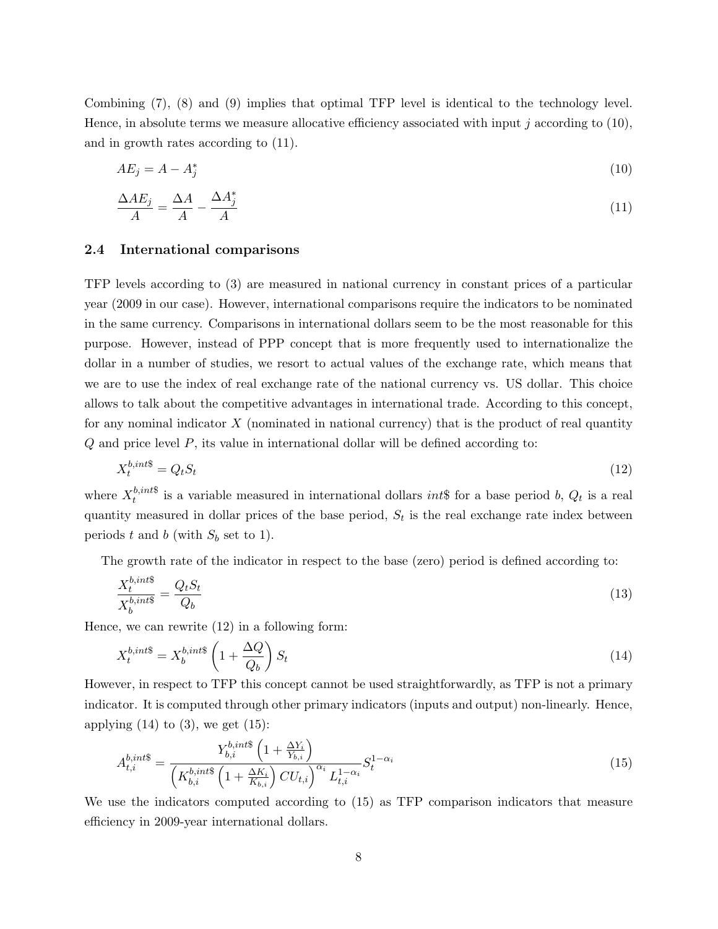Combining (7), (8) and (9) implies that optimal TFP level is identical to the technology level. Hence, in absolute terms we measure allocative efficiency associated with input j according to  $(10)$ , and in growth rates according to (11).

$$
AE_j = A - A_j^* \tag{10}
$$

$$
\frac{\Delta AE_j}{A} = \frac{\Delta A}{A} - \frac{\Delta A_j^*}{A} \tag{11}
$$

### 2.4 International comparisons

TFP levels according to (3) are measured in national currency in constant prices of a particular year (2009 in our case). However, international comparisons require the indicators to be nominated in the same currency. Comparisons in international dollars seem to be the most reasonable for this purpose. However, instead of PPP concept that is more frequently used to internationalize the dollar in a number of studies, we resort to actual values of the exchange rate, which means that we are to use the index of real exchange rate of the national currency vs. US dollar. This choice allows to talk about the competitive advantages in international trade. According to this concept, for any nominal indicator  $X$  (nominated in national currency) that is the product of real quantity Q and price level P, its value in international dollar will be defined according to:

$$
X_t^{b,int\$} = Q_t S_t \tag{12}
$$

where  $X_t^{b,int\$}$ <sup>o,*ints*</sup> is a variable measured in international dollars *int*<sup>§</sup> for a base period *b*,  $Q_t$  is a real quantity measured in dollar prices of the base period,  $S_t$  is the real exchange rate index between periods t and b (with  $S_b$  set to 1).

The growth rate of the indicator in respect to the base (zero) period is defined according to:

$$
\frac{X_t^{b,int\$}}{X_b^{b,int\$}} = \frac{Q_t S_t}{Q_b} \tag{13}
$$

Hence, we can rewrite (12) in a following form:

$$
X_t^{b,int\$} = X_b^{b,int\$} \left( 1 + \frac{\Delta Q}{Q_b} \right) S_t \tag{14}
$$

However, in respect to TFP this concept cannot be used straightforwardly, as TFP is not a primary indicator. It is computed through other primary indicators (inputs and output) non-linearly. Hence, applying  $(14)$  to  $(3)$ , we get  $(15)$ :

$$
A_{t,i}^{b,int\$} = \frac{Y_{b,i}^{b,int\$} \left(1 + \frac{\Delta Y_i}{Y_{b,i}}\right)}{\left(K_{b,i}^{b,int\$} \left(1 + \frac{\Delta K_i}{K_{b,i}}\right) C U_{t,i}\right)^{\alpha_i} L_{t,i}^{1-\alpha_i}} S_t^{1-\alpha_i}
$$
(15)

We use the indicators computed according to (15) as TFP comparison indicators that measure efficiency in 2009-year international dollars.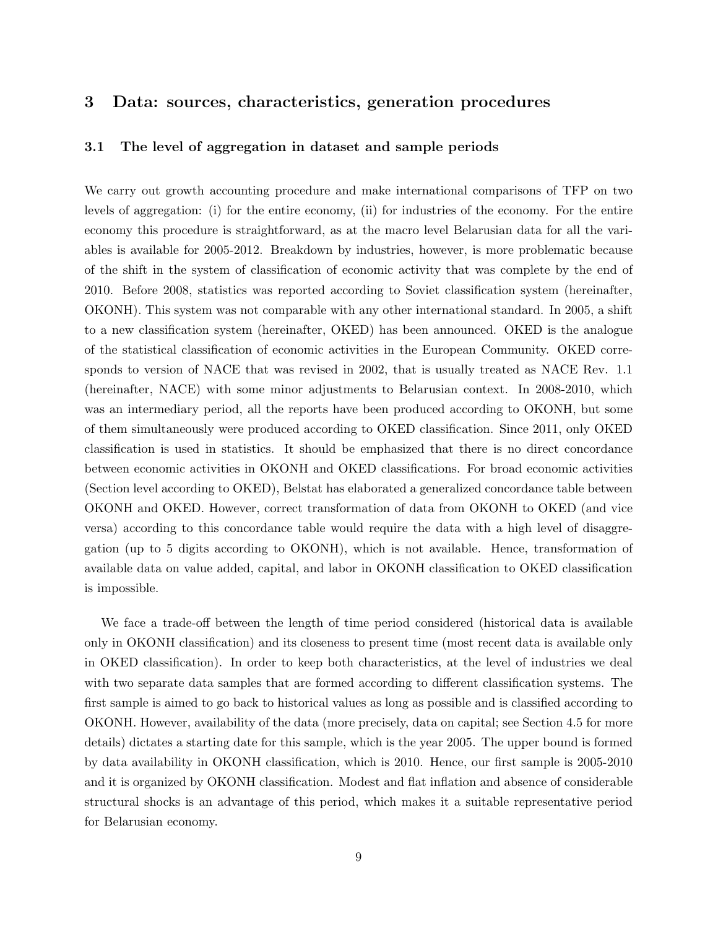### 3 Data: sources, characteristics, generation procedures

### 3.1 The level of aggregation in dataset and sample periods

We carry out growth accounting procedure and make international comparisons of TFP on two levels of aggregation: (i) for the entire economy, (ii) for industries of the economy. For the entire economy this procedure is straightforward, as at the macro level Belarusian data for all the variables is available for 2005-2012. Breakdown by industries, however, is more problematic because of the shift in the system of classification of economic activity that was complete by the end of 2010. Before 2008, statistics was reported according to Soviet classification system (hereinafter, OKONH). This system was not comparable with any other international standard. In 2005, a shift to a new classification system (hereinafter, OKED) has been announced. OKED is the analogue of the statistical classification of economic activities in the European Community. OKED corresponds to version of NACE that was revised in 2002, that is usually treated as NACE Rev. 1.1 (hereinafter, NACE) with some minor adjustments to Belarusian context. In 2008-2010, which was an intermediary period, all the reports have been produced according to OKONH, but some of them simultaneously were produced according to OKED classification. Since 2011, only OKED classification is used in statistics. It should be emphasized that there is no direct concordance between economic activities in OKONH and OKED classifications. For broad economic activities (Section level according to OKED), Belstat has elaborated a generalized concordance table between OKONH and OKED. However, correct transformation of data from OKONH to OKED (and vice versa) according to this concordance table would require the data with a high level of disaggregation (up to 5 digits according to OKONH), which is not available. Hence, transformation of available data on value added, capital, and labor in OKONH classification to OKED classification is impossible.

We face a trade-off between the length of time period considered (historical data is available only in OKONH classification) and its closeness to present time (most recent data is available only in OKED classification). In order to keep both characteristics, at the level of industries we deal with two separate data samples that are formed according to different classification systems. The first sample is aimed to go back to historical values as long as possible and is classified according to OKONH. However, availability of the data (more precisely, data on capital; see Section 4.5 for more details) dictates a starting date for this sample, which is the year 2005. The upper bound is formed by data availability in OKONH classification, which is 2010. Hence, our first sample is 2005-2010 and it is organized by OKONH classification. Modest and flat inflation and absence of considerable structural shocks is an advantage of this period, which makes it a suitable representative period for Belarusian economy.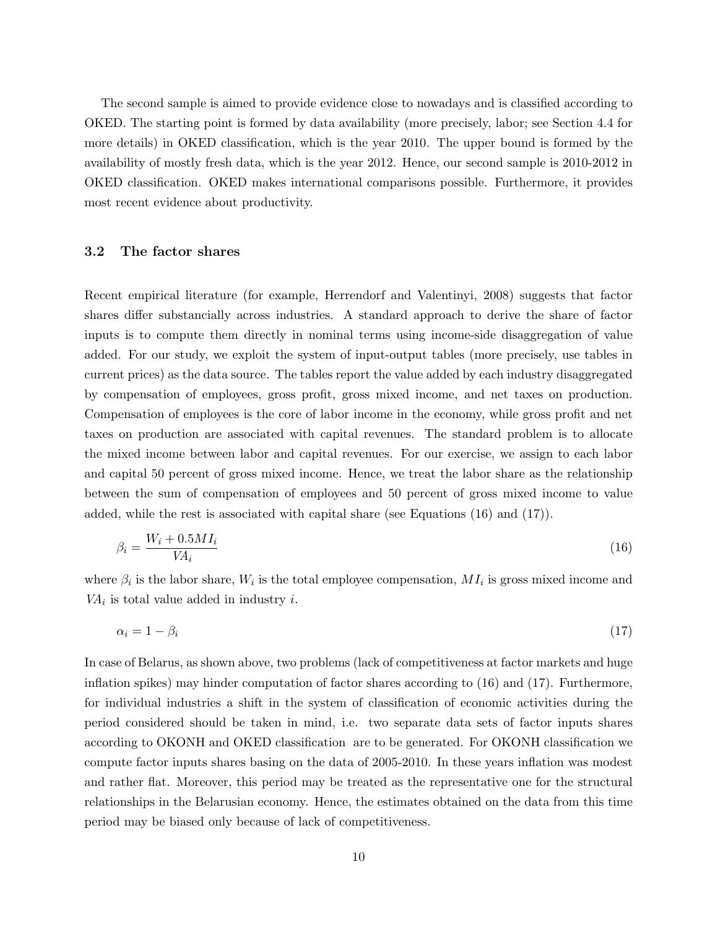The second sample is aimed to provide evidence close to nowadays and is classified according to OKED. The starting point is formed by data availability (more precisely, labor; see Section 4.4 for more details) in OKED classification, which is the year 2010. The upper bound is formed by the availability of mostly fresh data, which is the year 2012. Hence, our second sample is 2010-2012 in OKED classification. OKED makes international comparisons possible. Furthermore, it provides most recent evidence about productivity.

#### 3.2 The factor shares

Recent empirical literature (for example, Herrendorf and Valentinyi, 2008) suggests that factor shares differ substancially across industries. A standard approach to derive the share of factor inputs is to compute them directly in nominal terms using income-side disaggregation of value added. For our study, we exploit the system of input-output tables (more precisely, use tables in current prices) as the data source. The tables report the value added by each industry disaggregated by compensation of employees, gross profit, gross mixed income, and net taxes on production. Compensation of employees is the core of labor income in the economy, while gross profit and net taxes on production are associated with capital revenues. The standard problem is to allocate the mixed income between labor and capital revenues. For our exercise, we assign to each labor and capital 50 percent of gross mixed income. Hence, we treat the labor share as the relationship between the sum of compensation of employees and 50 percent of gross mixed income to value added, while the rest is associated with capital share (see Equations (16) and (17)).

$$
\beta_i = \frac{W_i + 0.5MI_i}{VA_i} \tag{16}
$$

where  $\beta_i$  is the labor share,  $W_i$  is the total employee compensation,  $MI_i$  is gross mixed income and  $VA<sub>i</sub>$  is total value added in industry *i*.

$$
\alpha_i = 1 - \beta_i \tag{17}
$$

In case of Belarus, as shown above, two problems (lack of competitiveness at factor markets and huge inflation spikes) may hinder computation of factor shares according to (16) and (17). Furthermore, for individual industries a shift in the system of classification of economic activities during the period considered should be taken in mind, i.e. two separate data sets of factor inputs shares according to OKONH and OKED classification are to be generated. For OKONH classification we compute factor inputs shares basing on the data of 2005-2010. In these years inflation was modest and rather flat. Moreover, this period may be treated as the representative one for the structural relationships in the Belarusian economy. Hence, the estimates obtained on the data from this time period may be biased only because of lack of competitiveness.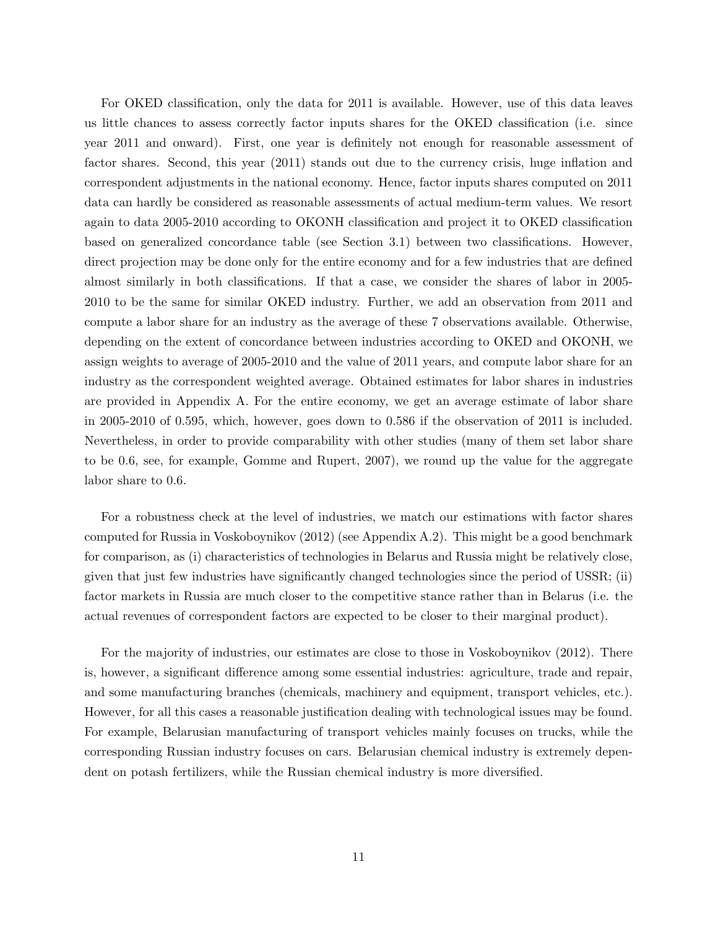For OKED classification, only the data for 2011 is available. However, use of this data leaves us little chances to assess correctly factor inputs shares for the OKED classification (i.e. since year 2011 and onward). First, one year is definitely not enough for reasonable assessment of factor shares. Second, this year (2011) stands out due to the currency crisis, huge inflation and correspondent adjustments in the national economy. Hence, factor inputs shares computed on 2011 data can hardly be considered as reasonable assessments of actual medium-term values. We resort again to data 2005-2010 according to OKONH classification and project it to OKED classification based on generalized concordance table (see Section 3.1) between two classifications. However, direct projection may be done only for the entire economy and for a few industries that are defined almost similarly in both classifications. If that a case, we consider the shares of labor in 2005- 2010 to be the same for similar OKED industry. Further, we add an observation from 2011 and compute a labor share for an industry as the average of these 7 observations available. Otherwise, depending on the extent of concordance between industries according to OKED and OKONH, we assign weights to average of 2005-2010 and the value of 2011 years, and compute labor share for an industry as the correspondent weighted average. Obtained estimates for labor shares in industries are provided in Appendix A. For the entire economy, we get an average estimate of labor share in 2005-2010 of 0.595, which, however, goes down to 0.586 if the observation of 2011 is included. Nevertheless, in order to provide comparability with other studies (many of them set labor share to be 0.6, see, for example, Gomme and Rupert, 2007), we round up the value for the aggregate labor share to 0.6.

For a robustness check at the level of industries, we match our estimations with factor shares computed for Russia in Voskoboynikov (2012) (see Appendix A.2). This might be a good benchmark for comparison, as (i) characteristics of technologies in Belarus and Russia might be relatively close, given that just few industries have significantly changed technologies since the period of USSR; (ii) factor markets in Russia are much closer to the competitive stance rather than in Belarus (i.e. the actual revenues of correspondent factors are expected to be closer to their marginal product).

For the majority of industries, our estimates are close to those in Voskoboynikov (2012). There is, however, a significant difference among some essential industries: agriculture, trade and repair, and some manufacturing branches (chemicals, machinery and equipment, transport vehicles, etc.). However, for all this cases a reasonable justification dealing with technological issues may be found. For example, Belarusian manufacturing of transport vehicles mainly focuses on trucks, while the corresponding Russian industry focuses on cars. Belarusian chemical industry is extremely dependent on potash fertilizers, while the Russian chemical industry is more diversified.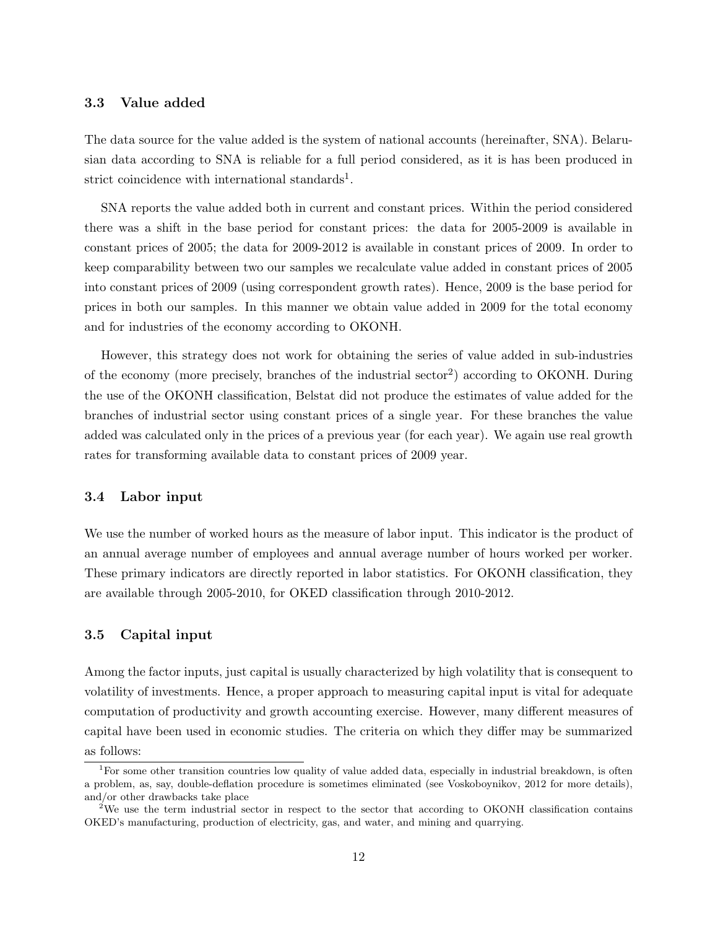### 3.3 Value added

The data source for the value added is the system of national accounts (hereinafter, SNA). Belarusian data according to SNA is reliable for a full period considered, as it is has been produced in strict coincidence with international standards<sup>1</sup>.

SNA reports the value added both in current and constant prices. Within the period considered there was a shift in the base period for constant prices: the data for 2005-2009 is available in constant prices of 2005; the data for 2009-2012 is available in constant prices of 2009. In order to keep comparability between two our samples we recalculate value added in constant prices of 2005 into constant prices of 2009 (using correspondent growth rates). Hence, 2009 is the base period for prices in both our samples. In this manner we obtain value added in 2009 for the total economy and for industries of the economy according to OKONH.

However, this strategy does not work for obtaining the series of value added in sub-industries of the economy (more precisely, branches of the industrial sector<sup>2</sup>) according to OKONH. During the use of the OKONH classification, Belstat did not produce the estimates of value added for the branches of industrial sector using constant prices of a single year. For these branches the value added was calculated only in the prices of a previous year (for each year). We again use real growth rates for transforming available data to constant prices of 2009 year.

#### 3.4 Labor input

We use the number of worked hours as the measure of labor input. This indicator is the product of an annual average number of employees and annual average number of hours worked per worker. These primary indicators are directly reported in labor statistics. For OKONH classification, they are available through 2005-2010, for OKED classification through 2010-2012.

### 3.5 Capital input

Among the factor inputs, just capital is usually characterized by high volatility that is consequent to volatility of investments. Hence, a proper approach to measuring capital input is vital for adequate computation of productivity and growth accounting exercise. However, many different measures of capital have been used in economic studies. The criteria on which they differ may be summarized as follows:

<sup>&</sup>lt;sup>1</sup>For some other transition countries low quality of value added data, especially in industrial breakdown, is often a problem, as, say, double-deflation procedure is sometimes eliminated (see Voskoboynikov, 2012 for more details), and/or other drawbacks take place

<sup>&</sup>lt;sup>2</sup>We use the term industrial sector in respect to the sector that according to OKONH classification contains OKED's manufacturing, production of electricity, gas, and water, and mining and quarrying.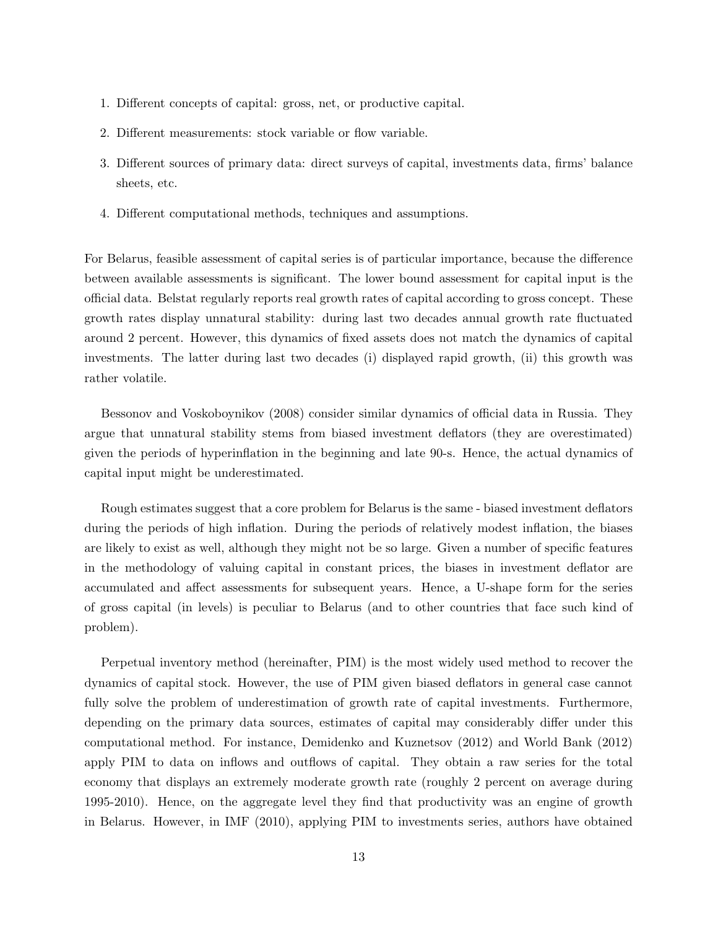- 1. Different concepts of capital: gross, net, or productive capital.
- 2. Different measurements: stock variable or flow variable.
- 3. Different sources of primary data: direct surveys of capital, investments data, firms' balance sheets, etc.
- 4. Different computational methods, techniques and assumptions.

For Belarus, feasible assessment of capital series is of particular importance, because the difference between available assessments is significant. The lower bound assessment for capital input is the official data. Belstat regularly reports real growth rates of capital according to gross concept. These growth rates display unnatural stability: during last two decades annual growth rate fluctuated around 2 percent. However, this dynamics of fixed assets does not match the dynamics of capital investments. The latter during last two decades (i) displayed rapid growth, (ii) this growth was rather volatile.

Bessonov and Voskoboynikov (2008) consider similar dynamics of official data in Russia. They argue that unnatural stability stems from biased investment deflators (they are overestimated) given the periods of hyperinflation in the beginning and late 90-s. Hence, the actual dynamics of capital input might be underestimated.

Rough estimates suggest that a core problem for Belarus is the same - biased investment deflators during the periods of high inflation. During the periods of relatively modest inflation, the biases are likely to exist as well, although they might not be so large. Given a number of specific features in the methodology of valuing capital in constant prices, the biases in investment deflator are accumulated and affect assessments for subsequent years. Hence, a U-shape form for the series of gross capital (in levels) is peculiar to Belarus (and to other countries that face such kind of problem).

Perpetual inventory method (hereinafter, PIM) is the most widely used method to recover the dynamics of capital stock. However, the use of PIM given biased deflators in general case cannot fully solve the problem of underestimation of growth rate of capital investments. Furthermore, depending on the primary data sources, estimates of capital may considerably differ under this computational method. For instance, Demidenko and Kuznetsov (2012) and World Bank (2012) apply PIM to data on inflows and outflows of capital. They obtain a raw series for the total economy that displays an extremely moderate growth rate (roughly 2 percent on average during 1995-2010). Hence, on the aggregate level they find that productivity was an engine of growth in Belarus. However, in IMF (2010), applying PIM to investments series, authors have obtained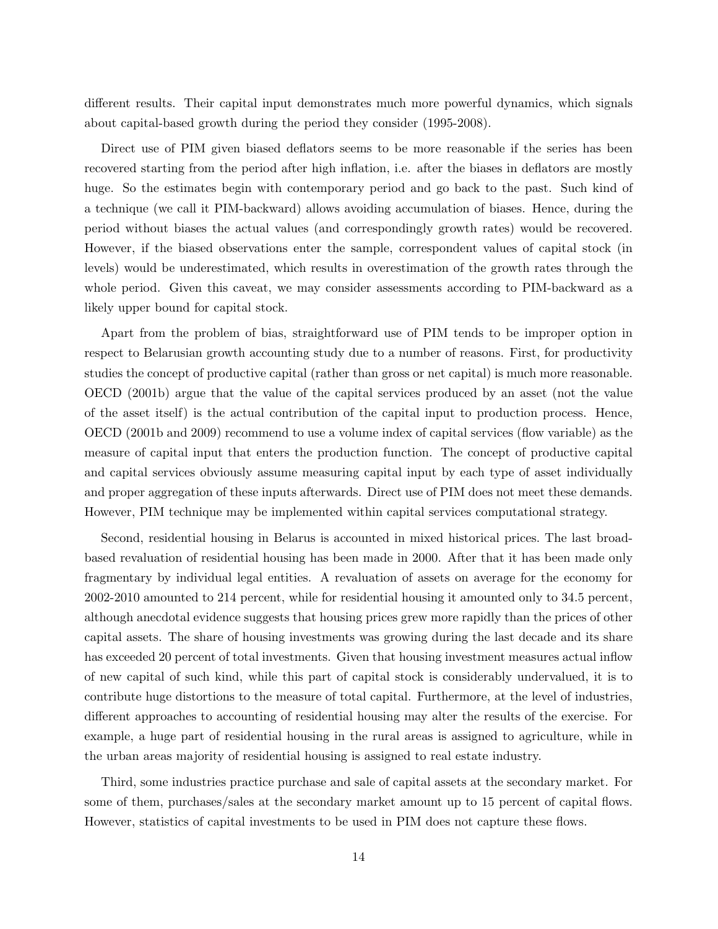different results. Their capital input demonstrates much more powerful dynamics, which signals about capital-based growth during the period they consider (1995-2008).

Direct use of PIM given biased deflators seems to be more reasonable if the series has been recovered starting from the period after high inflation, i.e. after the biases in deflators are mostly huge. So the estimates begin with contemporary period and go back to the past. Such kind of a technique (we call it PIM-backward) allows avoiding accumulation of biases. Hence, during the period without biases the actual values (and correspondingly growth rates) would be recovered. However, if the biased observations enter the sample, correspondent values of capital stock (in levels) would be underestimated, which results in overestimation of the growth rates through the whole period. Given this caveat, we may consider assessments according to PIM-backward as a likely upper bound for capital stock.

Apart from the problem of bias, straightforward use of PIM tends to be improper option in respect to Belarusian growth accounting study due to a number of reasons. First, for productivity studies the concept of productive capital (rather than gross or net capital) is much more reasonable. OECD (2001b) argue that the value of the capital services produced by an asset (not the value of the asset itself) is the actual contribution of the capital input to production process. Hence, OECD (2001b and 2009) recommend to use a volume index of capital services (flow variable) as the measure of capital input that enters the production function. The concept of productive capital and capital services obviously assume measuring capital input by each type of asset individually and proper aggregation of these inputs afterwards. Direct use of PIM does not meet these demands. However, PIM technique may be implemented within capital services computational strategy.

Second, residential housing in Belarus is accounted in mixed historical prices. The last broadbased revaluation of residential housing has been made in 2000. After that it has been made only fragmentary by individual legal entities. A revaluation of assets on average for the economy for 2002-2010 amounted to 214 percent, while for residential housing it amounted only to 34.5 percent, although anecdotal evidence suggests that housing prices grew more rapidly than the prices of other capital assets. The share of housing investments was growing during the last decade and its share has exceeded 20 percent of total investments. Given that housing investment measures actual inflow of new capital of such kind, while this part of capital stock is considerably undervalued, it is to contribute huge distortions to the measure of total capital. Furthermore, at the level of industries, different approaches to accounting of residential housing may alter the results of the exercise. For example, a huge part of residential housing in the rural areas is assigned to agriculture, while in the urban areas majority of residential housing is assigned to real estate industry.

Third, some industries practice purchase and sale of capital assets at the secondary market. For some of them, purchases/sales at the secondary market amount up to 15 percent of capital flows. However, statistics of capital investments to be used in PIM does not capture these flows.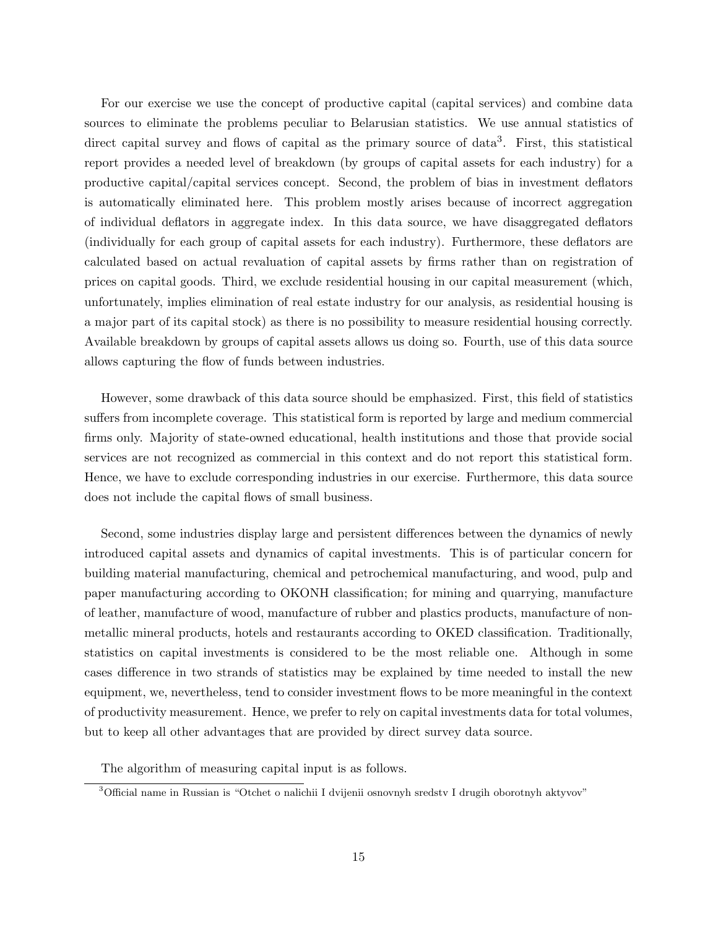For our exercise we use the concept of productive capital (capital services) and combine data sources to eliminate the problems peculiar to Belarusian statistics. We use annual statistics of direct capital survey and flows of capital as the primary source of data<sup>3</sup>. First, this statistical report provides a needed level of breakdown (by groups of capital assets for each industry) for a productive capital/capital services concept. Second, the problem of bias in investment deflators is automatically eliminated here. This problem mostly arises because of incorrect aggregation of individual deflators in aggregate index. In this data source, we have disaggregated deflators (individually for each group of capital assets for each industry). Furthermore, these deflators are calculated based on actual revaluation of capital assets by firms rather than on registration of prices on capital goods. Third, we exclude residential housing in our capital measurement (which, unfortunately, implies elimination of real estate industry for our analysis, as residential housing is a major part of its capital stock) as there is no possibility to measure residential housing correctly. Available breakdown by groups of capital assets allows us doing so. Fourth, use of this data source allows capturing the flow of funds between industries.

However, some drawback of this data source should be emphasized. First, this field of statistics suffers from incomplete coverage. This statistical form is reported by large and medium commercial firms only. Majority of state-owned educational, health institutions and those that provide social services are not recognized as commercial in this context and do not report this statistical form. Hence, we have to exclude corresponding industries in our exercise. Furthermore, this data source does not include the capital flows of small business.

Second, some industries display large and persistent differences between the dynamics of newly introduced capital assets and dynamics of capital investments. This is of particular concern for building material manufacturing, chemical and petrochemical manufacturing, and wood, pulp and paper manufacturing according to OKONH classification; for mining and quarrying, manufacture of leather, manufacture of wood, manufacture of rubber and plastics products, manufacture of nonmetallic mineral products, hotels and restaurants according to OKED classification. Traditionally, statistics on capital investments is considered to be the most reliable one. Although in some cases difference in two strands of statistics may be explained by time needed to install the new equipment, we, nevertheless, tend to consider investment flows to be more meaningful in the context of productivity measurement. Hence, we prefer to rely on capital investments data for total volumes, but to keep all other advantages that are provided by direct survey data source.

The algorithm of measuring capital input is as follows.

<sup>3</sup>Official name in Russian is "Otchet o nalichii I dvijenii osnovnyh sredstv I drugih oborotnyh aktyvov"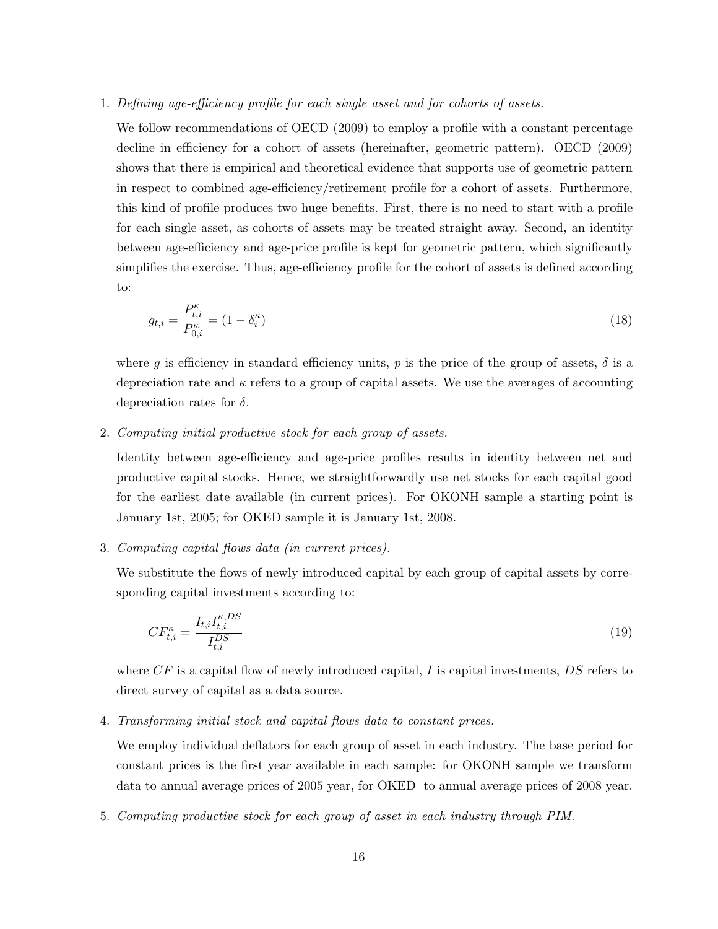### 1. Defining age-efficiency profile for each single asset and for cohorts of assets.

We follow recommendations of OECD (2009) to employ a profile with a constant percentage decline in efficiency for a cohort of assets (hereinafter, geometric pattern). OECD (2009) shows that there is empirical and theoretical evidence that supports use of geometric pattern in respect to combined age-efficiency/retirement profile for a cohort of assets. Furthermore, this kind of profile produces two huge benefits. First, there is no need to start with a profile for each single asset, as cohorts of assets may be treated straight away. Second, an identity between age-efficiency and age-price profile is kept for geometric pattern, which significantly simplifies the exercise. Thus, age-efficiency profile for the cohort of assets is defined according to:

$$
g_{t,i} = \frac{P_{t,i}^{\kappa}}{P_{0,i}^{\kappa}} = (1 - \delta_i^{\kappa})
$$
\n(18)

where q is efficiency in standard efficiency units, p is the price of the group of assets,  $\delta$  is a depreciation rate and  $\kappa$  refers to a group of capital assets. We use the averages of accounting depreciation rates for  $\delta$ .

### 2. Computing initial productive stock for each group of assets.

Identity between age-efficiency and age-price profiles results in identity between net and productive capital stocks. Hence, we straightforwardly use net stocks for each capital good for the earliest date available (in current prices). For OKONH sample a starting point is January 1st, 2005; for OKED sample it is January 1st, 2008.

### 3. Computing capital flows data (in current prices).

We substitute the flows of newly introduced capital by each group of capital assets by corresponding capital investments according to:

$$
CF_{t,i}^{\kappa} = \frac{I_{t,i}I_{t,i}^{\kappa,DS}}{I_{t,i}^{DS}}
$$
\n
$$
(19)
$$

where  $CF$  is a capital flow of newly introduced capital, I is capital investments,  $DS$  refers to direct survey of capital as a data source.

#### 4. Transforming initial stock and capital flows data to constant prices.

We employ individual deflators for each group of asset in each industry. The base period for constant prices is the first year available in each sample: for OKONH sample we transform data to annual average prices of 2005 year, for OKED to annual average prices of 2008 year.

5. Computing productive stock for each group of asset in each industry through PIM.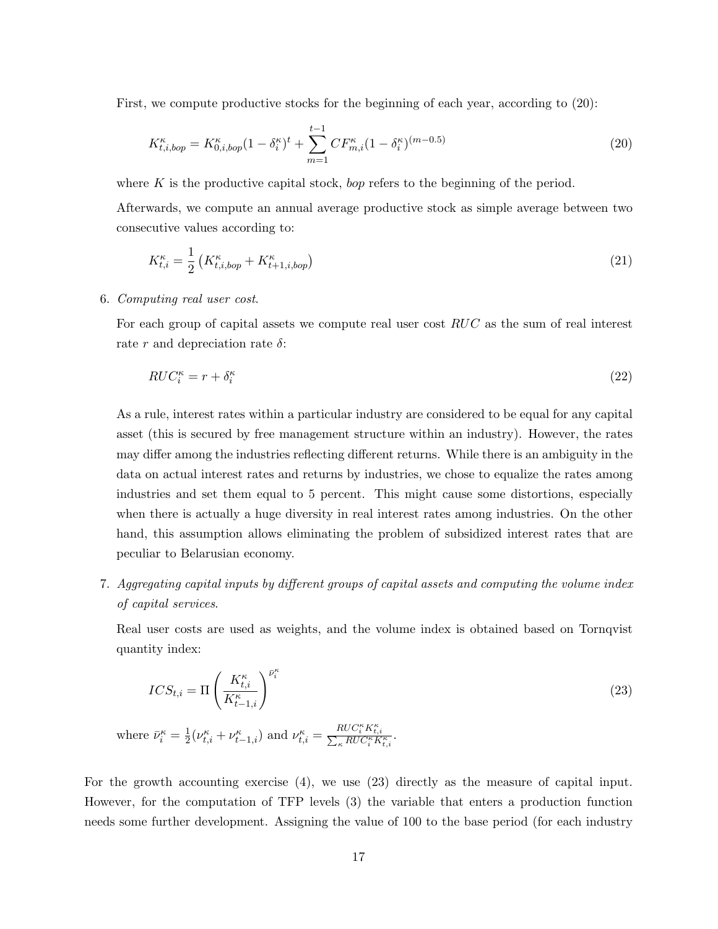First, we compute productive stocks for the beginning of each year, according to (20):

$$
K_{t,i,bop}^{\kappa} = K_{0,i,bop}^{\kappa} (1 - \delta_i^{\kappa})^t + \sum_{m=1}^{t-1} CF_{m,i}^{\kappa} (1 - \delta_i^{\kappa})^{(m-0.5)}
$$
\n(20)

where  $K$  is the productive capital stock, *bop* refers to the beginning of the period.

Afterwards, we compute an annual average productive stock as simple average between two consecutive values according to:

$$
K_{t,i}^{\kappa} = \frac{1}{2} \left( K_{t,i,bop}^{\kappa} + K_{t+1,i,bop}^{\kappa} \right) \tag{21}
$$

### 6. Computing real user cost.

For each group of capital assets we compute real user cost RUC as the sum of real interest rate r and depreciation rate  $\delta$ :

$$
RUC_i^{\kappa} = r + \delta_i^{\kappa} \tag{22}
$$

As a rule, interest rates within a particular industry are considered to be equal for any capital asset (this is secured by free management structure within an industry). However, the rates may differ among the industries reflecting different returns. While there is an ambiguity in the data on actual interest rates and returns by industries, we chose to equalize the rates among industries and set them equal to 5 percent. This might cause some distortions, especially when there is actually a huge diversity in real interest rates among industries. On the other hand, this assumption allows eliminating the problem of subsidized interest rates that are peculiar to Belarusian economy.

7. Aggregating capital inputs by different groups of capital assets and computing the volume index of capital services.

Real user costs are used as weights, and the volume index is obtained based on Tornqvist quantity index:

$$
ICS_{t,i} = \Pi \left( \frac{K_{t,i}^{\kappa}}{K_{t-1,i}^{\kappa}} \right)^{\bar{\nu}_i^{\kappa}}
$$
(23)

where  $\bar{\nu}_i^{\kappa} = \frac{1}{2}$  $\frac{1}{2}(\nu_{t,i}^{\kappa} + \nu_{t-1,i}^{\kappa})$  and  $\nu_{t,i}^{\kappa} = \frac{RUC_{i}^{\kappa}K_{t,i}^{\kappa}}{\sum_{\kappa}RUC_{i}^{\kappa}K_{t,i}^{\kappa}}$  $\frac{r_{\text{IC}} C_i K_{t,i}}{\sum_{\kappa} R U C_i^{\kappa} K_{t,i}^{\kappa}}$ .

For the growth accounting exercise (4), we use (23) directly as the measure of capital input. However, for the computation of TFP levels (3) the variable that enters a production function needs some further development. Assigning the value of 100 to the base period (for each industry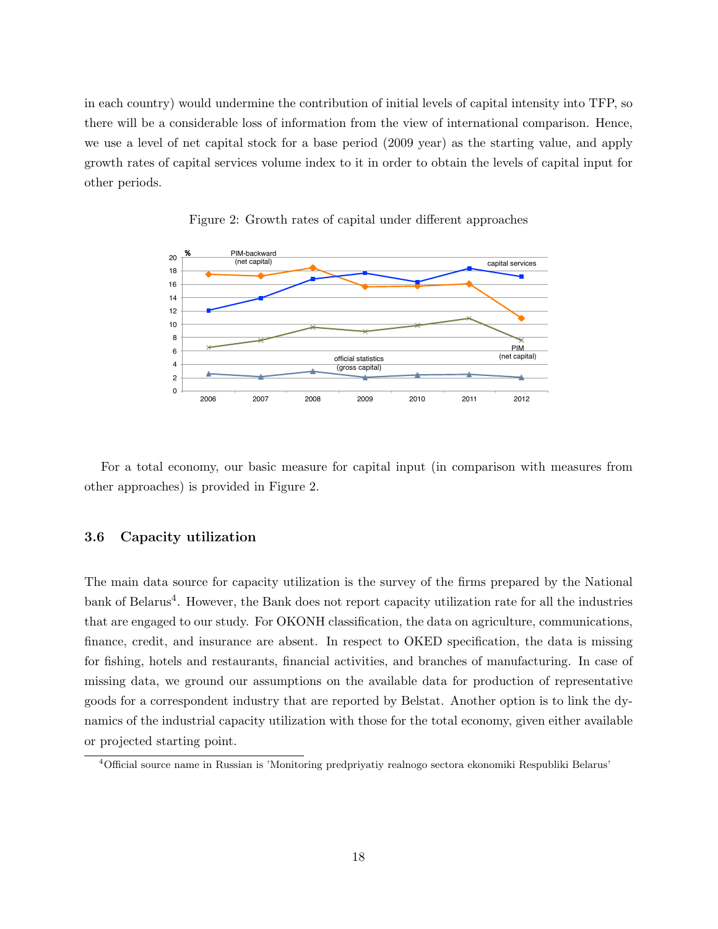in each country) would undermine the contribution of initial levels of capital intensity into TFP, so there will be a considerable loss of information from the view of international comparison. Hence, we use a level of net capital stock for a base period (2009 year) as the starting value, and apply growth rates of capital services volume index to it in order to obtain the levels of capital input for other periods.



Figure 2: Growth rates of capital under different approaches

For a total economy, our basic measure for capital input (in comparison with measures from other approaches) is provided in Figure 2.

### 3.6 Capacity utilization

The main data source for capacity utilization is the survey of the firms prepared by the National bank of Belarus<sup>4</sup>. However, the Bank does not report capacity utilization rate for all the industries that are engaged to our study. For OKONH classification, the data on agriculture, communications, finance, credit, and insurance are absent. In respect to OKED specification, the data is missing for fishing, hotels and restaurants, financial activities, and branches of manufacturing. In case of missing data, we ground our assumptions on the available data for production of representative goods for a correspondent industry that are reported by Belstat. Another option is to link the dynamics of the industrial capacity utilization with those for the total economy, given either available or projected starting point.

<sup>4</sup>Official source name in Russian is 'Monitoring predpriyatiy realnogo sectora ekonomiki Respubliki Belarus'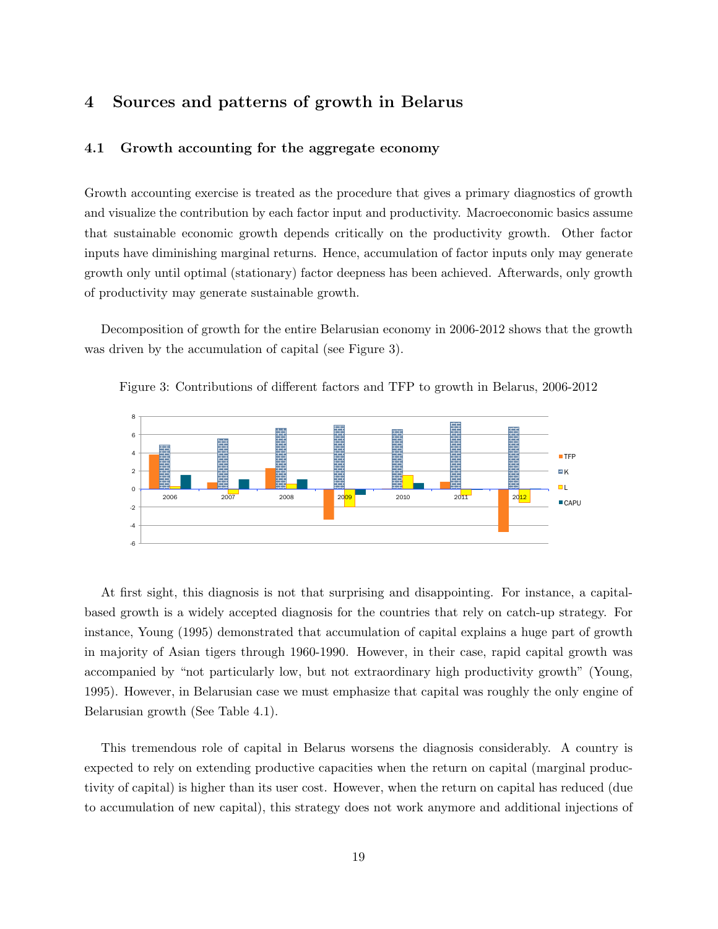### 4 Sources and patterns of growth in Belarus

### 4.1 Growth accounting for the aggregate economy

Growth accounting exercise is treated as the procedure that gives a primary diagnostics of growth and visualize the contribution by each factor input and productivity. Macroeconomic basics assume that sustainable economic growth depends critically on the productivity growth. Other factor inputs have diminishing marginal returns. Hence, accumulation of factor inputs only may generate growth only until optimal (stationary) factor deepness has been achieved. Afterwards, only growth of productivity may generate sustainable growth.

Decomposition of growth for the entire Belarusian economy in 2006-2012 shows that the growth was driven by the accumulation of capital (see Figure 3).





At first sight, this diagnosis is not that surprising and disappointing. For instance, a capitalbased growth is a widely accepted diagnosis for the countries that rely on catch-up strategy. For instance, Young (1995) demonstrated that accumulation of capital explains a huge part of growth in majority of Asian tigers through 1960-1990. However, in their case, rapid capital growth was accompanied by "not particularly low, but not extraordinary high productivity growth" (Young, 1995). However, in Belarusian case we must emphasize that capital was roughly the only engine of Belarusian growth (See Table 4.1).

This tremendous role of capital in Belarus worsens the diagnosis considerably. A country is expected to rely on extending productive capacities when the return on capital (marginal productivity of capital) is higher than its user cost. However, when the return on capital has reduced (due to accumulation of new capital), this strategy does not work anymore and additional injections of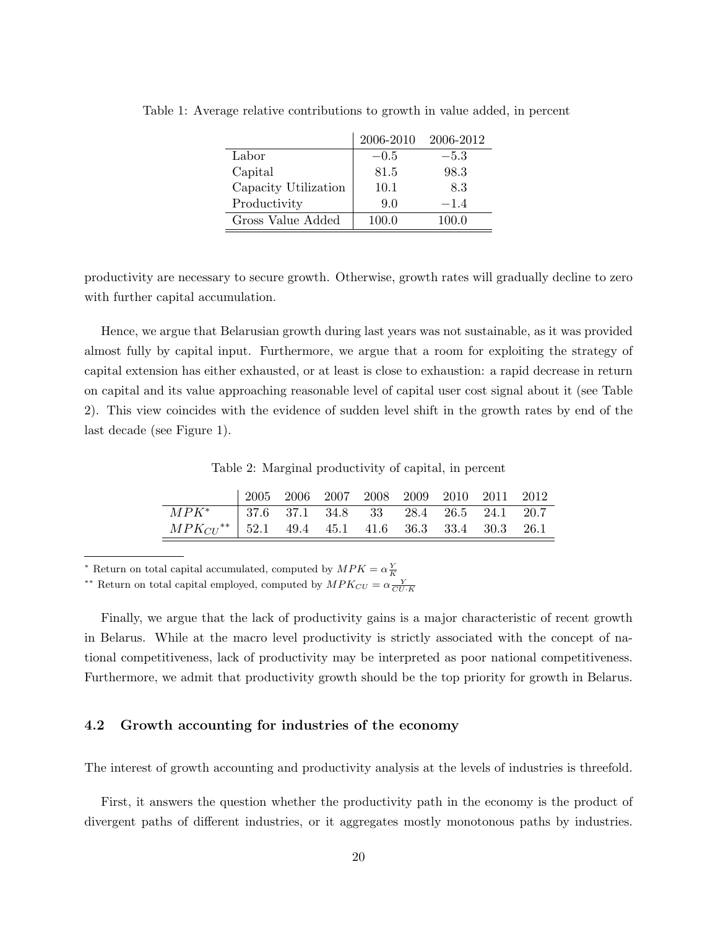|                      | 2006-2010 | 2006-2012 |
|----------------------|-----------|-----------|
| Labor                | $-0.5$    | $-5.3$    |
| Capital              | 81.5      | 98.3      |
| Capacity Utilization | 10.1      | 8.3       |
| Productivity         | 9.0       | $-1.4$    |
| Gross Value Added    | 100.0     | 100.0     |

Table 1: Average relative contributions to growth in value added, in percent

productivity are necessary to secure growth. Otherwise, growth rates will gradually decline to zero with further capital accumulation.

Hence, we argue that Belarusian growth during last years was not sustainable, as it was provided almost fully by capital input. Furthermore, we argue that a room for exploiting the strategy of capital extension has either exhausted, or at least is close to exhaustion: a rapid decrease in return on capital and its value approaching reasonable level of capital user cost signal about it (see Table 2). This view coincides with the evidence of sudden level shift in the growth rates by end of the last decade (see Figure 1).

Table 2: Marginal productivity of capital, in percent

|                                                           | $\begin{array}{cccccc} \mid 2005 & 2006 & 2007 & 2008 & 2009 & 2010 & 2011 & 2012 \end{array}$ |  |  |  |  |
|-----------------------------------------------------------|------------------------------------------------------------------------------------------------|--|--|--|--|
| $\boxed{MPK^*$   37.6 37.1 34.8 33 28.4 26.5 24.1 20.7    |                                                                                                |  |  |  |  |
| $MPK_{CU}^{**}$   52.1 49.4 45.1 41.6 36.3 33.4 30.3 26.1 |                                                                                                |  |  |  |  |

\* Return on total capital accumulated, computed by  $MPK = \alpha \frac{Y}{K}$ <br>\*\* Return on total capital employed, computed by  $MPK_{CU} = \alpha \frac{Y}{CU \cdot K}$ 

Finally, we argue that the lack of productivity gains is a major characteristic of recent growth in Belarus. While at the macro level productivity is strictly associated with the concept of national competitiveness, lack of productivity may be interpreted as poor national competitiveness. Furthermore, we admit that productivity growth should be the top priority for growth in Belarus.

### 4.2 Growth accounting for industries of the economy

The interest of growth accounting and productivity analysis at the levels of industries is threefold.

First, it answers the question whether the productivity path in the economy is the product of divergent paths of different industries, or it aggregates mostly monotonous paths by industries.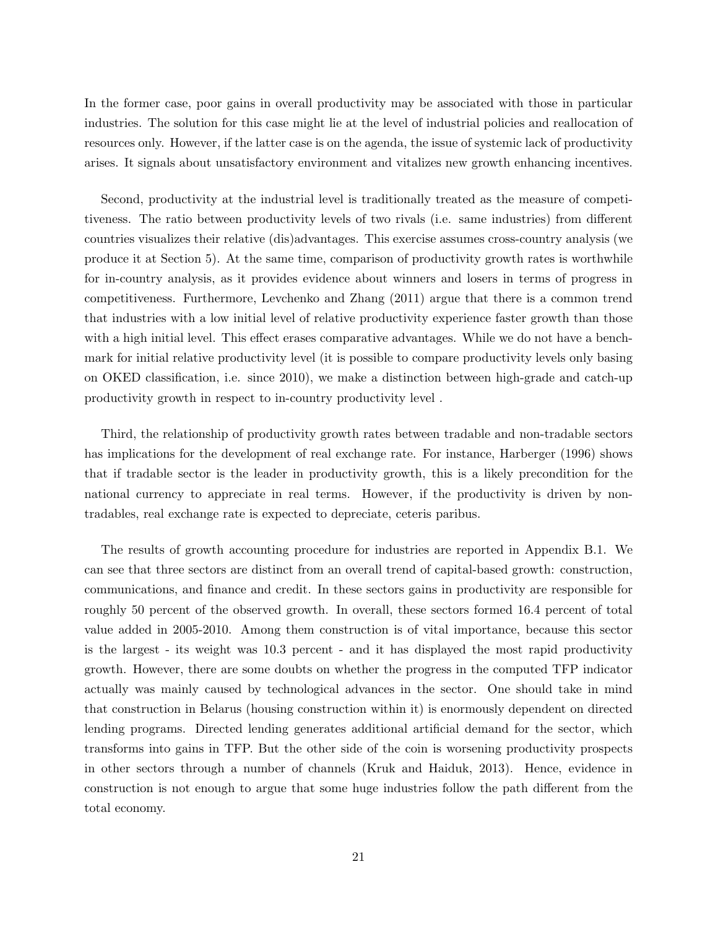In the former case, poor gains in overall productivity may be associated with those in particular industries. The solution for this case might lie at the level of industrial policies and reallocation of resources only. However, if the latter case is on the agenda, the issue of systemic lack of productivity arises. It signals about unsatisfactory environment and vitalizes new growth enhancing incentives.

Second, productivity at the industrial level is traditionally treated as the measure of competitiveness. The ratio between productivity levels of two rivals (i.e. same industries) from different countries visualizes their relative (dis)advantages. This exercise assumes cross-country analysis (we produce it at Section 5). At the same time, comparison of productivity growth rates is worthwhile for in-country analysis, as it provides evidence about winners and losers in terms of progress in competitiveness. Furthermore, Levchenko and Zhang (2011) argue that there is a common trend that industries with a low initial level of relative productivity experience faster growth than those with a high initial level. This effect erases comparative advantages. While we do not have a benchmark for initial relative productivity level (it is possible to compare productivity levels only basing on OKED classification, i.e. since 2010), we make a distinction between high-grade and catch-up productivity growth in respect to in-country productivity level .

Third, the relationship of productivity growth rates between tradable and non-tradable sectors has implications for the development of real exchange rate. For instance, Harberger (1996) shows that if tradable sector is the leader in productivity growth, this is a likely precondition for the national currency to appreciate in real terms. However, if the productivity is driven by nontradables, real exchange rate is expected to depreciate, ceteris paribus.

The results of growth accounting procedure for industries are reported in Appendix B.1. We can see that three sectors are distinct from an overall trend of capital-based growth: construction, communications, and finance and credit. In these sectors gains in productivity are responsible for roughly 50 percent of the observed growth. In overall, these sectors formed 16.4 percent of total value added in 2005-2010. Among them construction is of vital importance, because this sector is the largest - its weight was 10.3 percent - and it has displayed the most rapid productivity growth. However, there are some doubts on whether the progress in the computed TFP indicator actually was mainly caused by technological advances in the sector. One should take in mind that construction in Belarus (housing construction within it) is enormously dependent on directed lending programs. Directed lending generates additional artificial demand for the sector, which transforms into gains in TFP. But the other side of the coin is worsening productivity prospects in other sectors through a number of channels (Kruk and Haiduk, 2013). Hence, evidence in construction is not enough to argue that some huge industries follow the path different from the total economy.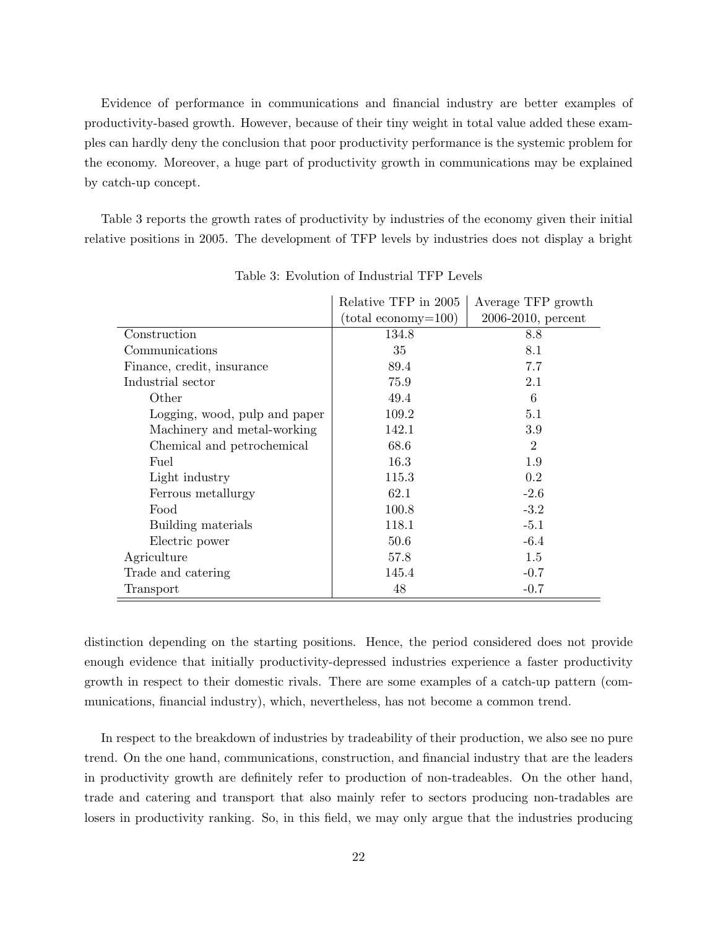Evidence of performance in communications and financial industry are better examples of productivity-based growth. However, because of their tiny weight in total value added these examples can hardly deny the conclusion that poor productivity performance is the systemic problem for the economy. Moreover, a huge part of productivity growth in communications may be explained by catch-up concept.

Table 3 reports the growth rates of productivity by industries of the economy given their initial relative positions in 2005. The development of TFP levels by industries does not display a bright

|                               | Relative TFP in 2005         | Average TFP growth    |
|-------------------------------|------------------------------|-----------------------|
|                               | $(\text{total economy}=100)$ | $2006-2010$ , percent |
| Construction                  | 134.8                        | 8.8                   |
| Communications                | 35                           | 8.1                   |
| Finance, credit, insurance    | 89.4                         | 7.7                   |
| Industrial sector             | 75.9                         | 2.1                   |
| Other                         | 49.4                         | 6                     |
| Logging, wood, pulp and paper | 109.2                        | 5.1                   |
| Machinery and metal-working   | 142.1                        | 3.9                   |
| Chemical and petrochemical    | 68.6                         | $\overline{2}$        |
| Fuel                          | 16.3                         | 1.9                   |
| Light industry                | 115.3                        | $0.2\,$               |
| Ferrous metallurgy            | 62.1                         | $-2.6$                |
| Food                          | 100.8                        | $-3.2$                |
| Building materials            | 118.1                        | $-5.1$                |
| Electric power                | 50.6                         | $-6.4$                |
| Agriculture                   | 57.8                         | 1.5                   |
| Trade and catering            | 145.4                        | $-0.7$                |
| Transport                     | 48                           | $-0.7$                |

Table 3: Evolution of Industrial TFP Levels

distinction depending on the starting positions. Hence, the period considered does not provide enough evidence that initially productivity-depressed industries experience a faster productivity growth in respect to their domestic rivals. There are some examples of a catch-up pattern (communications, financial industry), which, nevertheless, has not become a common trend.

In respect to the breakdown of industries by tradeability of their production, we also see no pure trend. On the one hand, communications, construction, and financial industry that are the leaders in productivity growth are definitely refer to production of non-tradeables. On the other hand, trade and catering and transport that also mainly refer to sectors producing non-tradables are losers in productivity ranking. So, in this field, we may only argue that the industries producing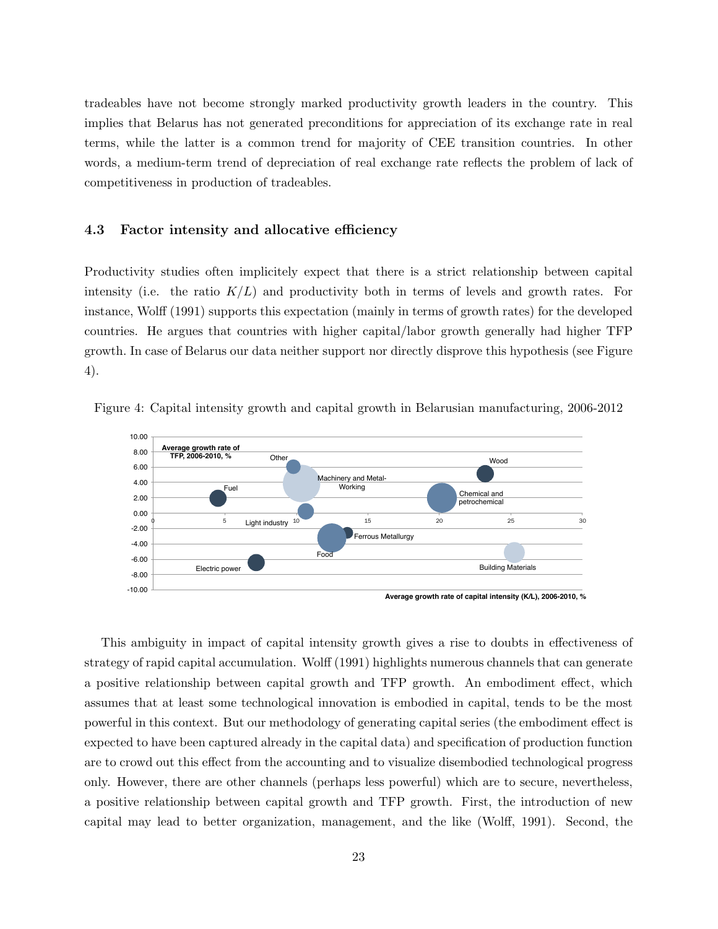tradeables have not become strongly marked productivity growth leaders in the country. This implies that Belarus has not generated preconditions for appreciation of its exchange rate in real terms, while the latter is a common trend for majority of CEE transition countries. In other words, a medium-term trend of depreciation of real exchange rate reflects the problem of lack of competitiveness in production of tradeables.

#### 4.3 Factor intensity and allocative efficiency

Productivity studies often implicitely expect that there is a strict relationship between capital intensity (i.e. the ratio  $K/L$ ) and productivity both in terms of levels and growth rates. For instance, Wolff (1991) supports this expectation (mainly in terms of growth rates) for the developed countries. He argues that countries with higher capital/labor growth generally had higher TFP growth. In case of Belarus our data neither support nor directly disprove this hypothesis (see Figure 4).



Figure 4: Capital intensity growth and capital growth in Belarusian manufacturing, 2006-2012

This ambiguity in impact of capital intensity growth gives a rise to doubts in effectiveness of strategy of rapid capital accumulation. Wolff (1991) highlights numerous channels that can generate a positive relationship between capital growth and TFP growth. An embodiment effect, which assumes that at least some technological innovation is embodied in capital, tends to be the most powerful in this context. But our methodology of generating capital series (the embodiment effect is expected to have been captured already in the capital data) and specification of production function are to crowd out this effect from the accounting and to visualize disembodied technological progress only. However, there are other channels (perhaps less powerful) which are to secure, nevertheless, a positive relationship between capital growth and TFP growth. First, the introduction of new capital may lead to better organization, management, and the like (Wolff, 1991). Second, the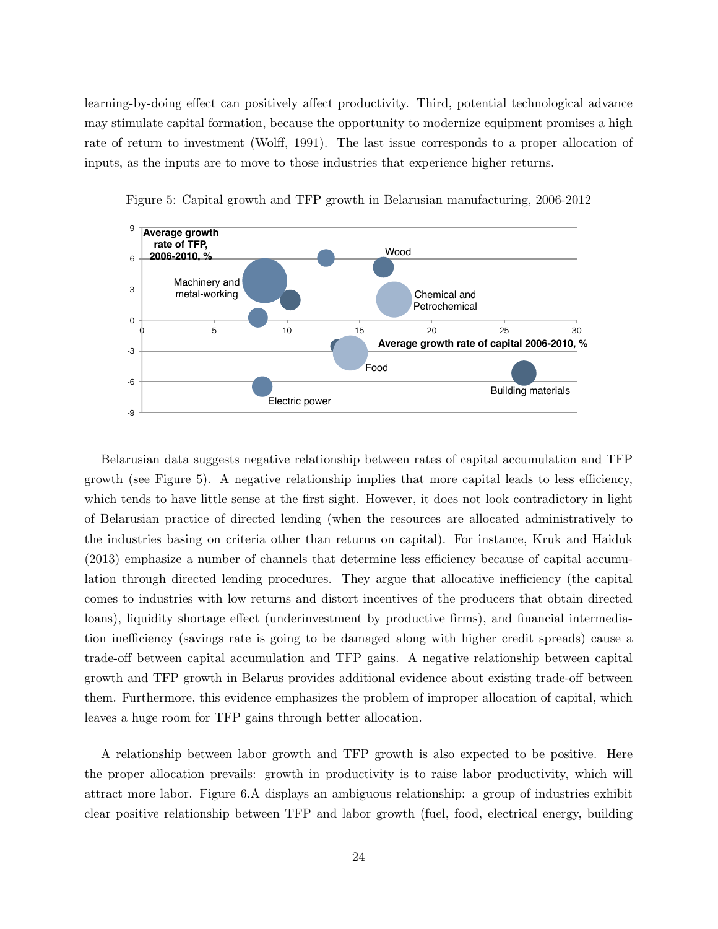learning-by-doing effect can positively affect productivity. Third, potential technological advance may stimulate capital formation, because the opportunity to modernize equipment promises a high rate of return to investment (Wolff, 1991). The last issue corresponds to a proper allocation of inputs, as the inputs are to move to those industries that experience higher returns.





Belarusian data suggests negative relationship between rates of capital accumulation and TFP growth (see Figure 5). A negative relationship implies that more capital leads to less efficiency, which tends to have little sense at the first sight. However, it does not look contradictory in light of Belarusian practice of directed lending (when the resources are allocated administratively to the industries basing on criteria other than returns on capital). For instance, Kruk and Haiduk (2013) emphasize a number of channels that determine less efficiency because of capital accumulation through directed lending procedures. They argue that allocative inefficiency (the capital comes to industries with low returns and distort incentives of the producers that obtain directed loans), liquidity shortage effect (underinvestment by productive firms), and financial intermediation inefficiency (savings rate is going to be damaged along with higher credit spreads) cause a trade-off between capital accumulation and TFP gains. A negative relationship between capital growth and TFP growth in Belarus provides additional evidence about existing trade-off between them. Furthermore, this evidence emphasizes the problem of improper allocation of capital, which leaves a huge room for TFP gains through better allocation.

A relationship between labor growth and TFP growth is also expected to be positive. Here the proper allocation prevails: growth in productivity is to raise labor productivity, which will attract more labor. Figure 6.A displays an ambiguous relationship: a group of industries exhibit clear positive relationship between TFP and labor growth (fuel, food, electrical energy, building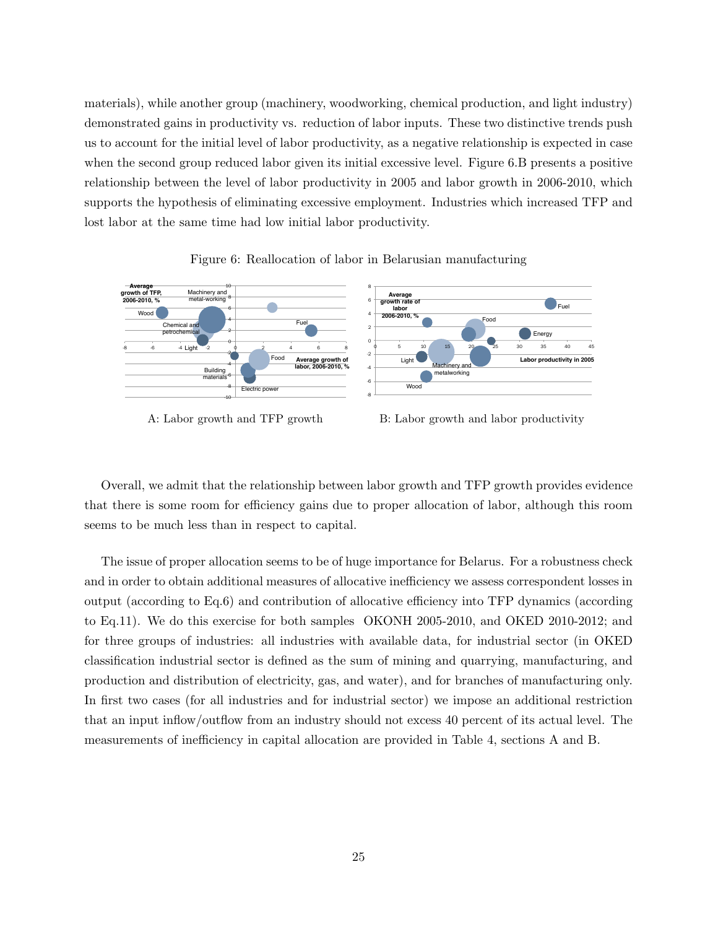materials), while another group (machinery, woodworking, chemical production, and light industry) demonstrated gains in productivity vs. reduction of labor inputs. These two distinctive trends push us to account for the initial level of labor productivity, as a negative relationship is expected in case when the second group reduced labor given its initial excessive level. Figure 6.B presents a positive relationship between the level of labor productivity in 2005 and labor growth in 2006-2010, which supports the hypothesis of eliminating excessive employment. Industries which increased TFP and lost labor at the same time had low initial labor productivity.



Figure 6: Reallocation of labor in Belarusian manufacturing

- 
- A: Labor growth and TFP growth B: Labor growth and labor productivity

Overall, we admit that the relationship between labor growth and TFP growth provides evidence that there is some room for efficiency gains due to proper allocation of labor, although this room seems to be much less than in respect to capital.

The issue of proper allocation seems to be of huge importance for Belarus. For a robustness check and in order to obtain additional measures of allocative inefficiency we assess correspondent losses in output (according to Eq.6) and contribution of allocative efficiency into TFP dynamics (according to Eq.11). We do this exercise for both samples OKONH 2005-2010, and OKED 2010-2012; and for three groups of industries: all industries with available data, for industrial sector (in OKED classification industrial sector is defined as the sum of mining and quarrying, manufacturing, and production and distribution of electricity, gas, and water), and for branches of manufacturing only. In first two cases (for all industries and for industrial sector) we impose an additional restriction that an input inflow/outflow from an industry should not excess 40 percent of its actual level. The measurements of inefficiency in capital allocation are provided in Table 4, sections A and B.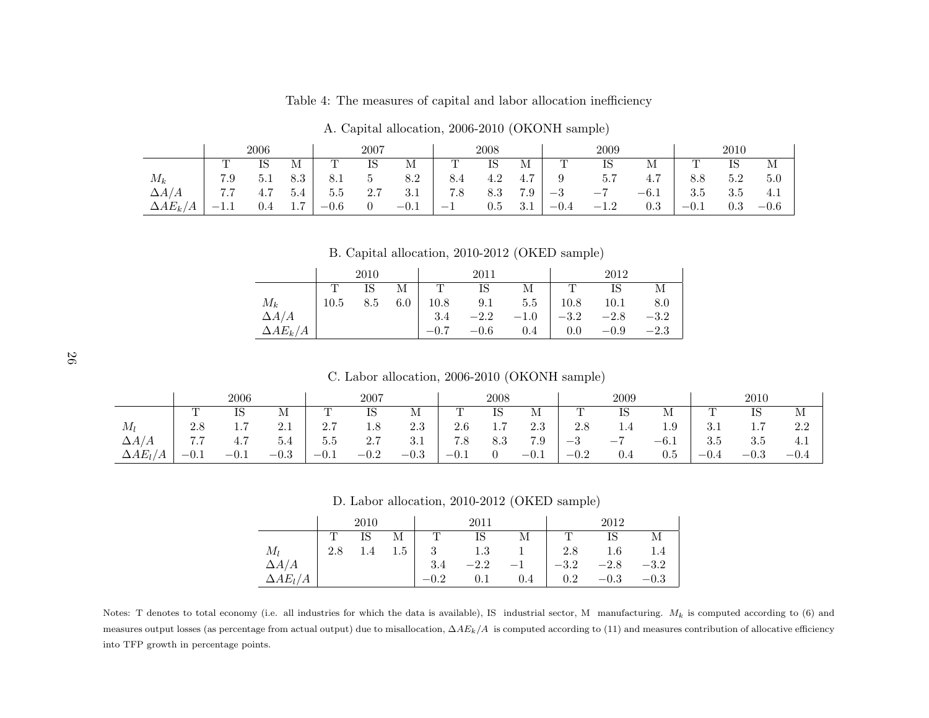|                       | 2006                                          |         |                              | 2007         |     | 2008   |                          | 2009    |                       |               | 2010                     |                       |        |         |        |
|-----------------------|-----------------------------------------------|---------|------------------------------|--------------|-----|--------|--------------------------|---------|-----------------------|---------------|--------------------------|-----------------------|--------|---------|--------|
|                       | m<br><b>.</b>                                 | IS      | М                            | $\mathbf{m}$ | IS  | М      | m                        | IS      | М                     | m<br><b>I</b> | IS                       | М                     | m      | IS      | М      |
| $M_k$                 | 7.9                                           | 5.1     | 8.3                          | 8.1          |     | 8.2    | 8.4                      | 4.2     | $\overline{ }$<br>4.7 |               | 5.7                      | $\overline{ }$<br>4.7 | 8.8    | 5.2     | 5.0    |
| $\Delta A/A$          | $\cdots$                                      | 4.7     | 5.4                          | 5.5          | 2.7 | 3.1    | 7.8                      | 8.3     | 7.9                   | $-3$          | $\overline{\phantom{a}}$ | $-6.1$                | 3.5    | 3.5     | 4.1    |
| $\Delta AE_{k}$<br>'A | $\hspace{0.1mm}-\hspace{0.1mm}$<br><b>1.L</b> | $0.4\,$ | $\overline{ }$<br><b>1.1</b> | $-0.6$       | 0   | $-0.1$ | $\overline{\phantom{0}}$ | $0.5\,$ | 3.1                   | $-0.4$        | റ<br>$-1.2$              | $0.3\,$               | $-0.1$ | $0.3\,$ | $-0.6$ |

Table 4: The measures of capital and labor allocation inefficiency

A. Capital allocation, 2006-2010 (OKONH sample)

B. Capital allocation, 2010-2012 (OKED sample)

|                 | 2010 |     |     |      | 2011   |         | 2012    |        |        |  |
|-----------------|------|-----|-----|------|--------|---------|---------|--------|--------|--|
|                 |      | IS  | М   |      | IS     | М       |         |        | М      |  |
| $M_{k}$         | 10.5 | 8.5 | 6.0 | 10.8 | 9.1    | 5.5     | 10.8    | 10.1   | 8.0    |  |
| $\Delta A/A$    |      |     |     | 3.4  | $-2.2$ | $-1.0$  | $-3.2$  | $-2.8$ | $-3.2$ |  |
| $\Delta AE_k/A$ |      |     |     |      | $-0.6$ | $0.4\,$ | $0.0\,$ | $-0.9$ | $-2.3$ |  |

26

C. Labor allocation, 2006-2010 (OKONH sample)

|                        | 2006   |                                     | 2007   |        | 2008   |        | 2009   |     |        | 2010    |      |          |                              |                              |        |
|------------------------|--------|-------------------------------------|--------|--------|--------|--------|--------|-----|--------|---------|------|----------|------------------------------|------------------------------|--------|
|                        |        |                                     | М      |        | IS     | М      | ᅩ      | IS  | M      |         | ΙS   | M        |                              | IS                           | M      |
| $M_l$                  | 2.8    | $\overline{ }$<br>$\pm \cdot \cdot$ | 2.1    | 2.7    | 1.8    | 2.3    | 2.6    | 1.7 | 2.3    | 2.8     | 1.4  | $^{1.9}$ | $\Omega$ .<br>$\mathbf{0.1}$ | $\overline{ }$<br><b>1.1</b> | 2.2    |
| $\Delta A/A$           | 7.7    | 4.7                                 | 5.4    | 5.5    | 2.7    | 3.1    | 7.8    | 8.3 | 7.9    | ച<br>—პ | $-1$ | $-6.1$   | 3.5                          | 3.5                          | 4.1    |
| $\Delta AE_l$<br>ı / A | $-0.1$ | $-U.1$                              | $-0.3$ | $-0.1$ | $-0.2$ | $-0.3$ | $-0.1$ |     | $-0.1$ | $-0.2$  | 0.4  | $_{0.5}$ | $-0.4$                       | $-0.3$                       | $-0.4$ |

D. Labor allocation, 2010-2012 (OKED sample)

|                 | 2010 |         |     |     | 2011   |     | 2012   |         |        |  |
|-----------------|------|---------|-----|-----|--------|-----|--------|---------|--------|--|
|                 |      | IS      | М   |     | IS     | М   |        |         |        |  |
| $M_l$           | 2.8  | $1.4\,$ | 1.5 | 3   | 1.3    |     | 2.8    | $1.6\,$ |        |  |
| $\Delta A/A$    |      |         |     | 3.4 | $-2.2$ |     | $-3.2$ | $-2.8$  | $-3.2$ |  |
| $\Delta AE_l/A$ |      |         |     |     | 0.1    | 0.4 | 0.2    | $-0.3$  | $-0.3$ |  |

Notes: T denotes to total economy (i.e. all industries for which the data is available), IS industrial sector, M manufacturing.  $M_k$  is computed according to (6) and measures output losses (as percentage from actual output) due to misallocation,  $\Delta A E_k/A$  is computed according to (11) and measures contribution of allocative efficiency into TFP growth in percentage points.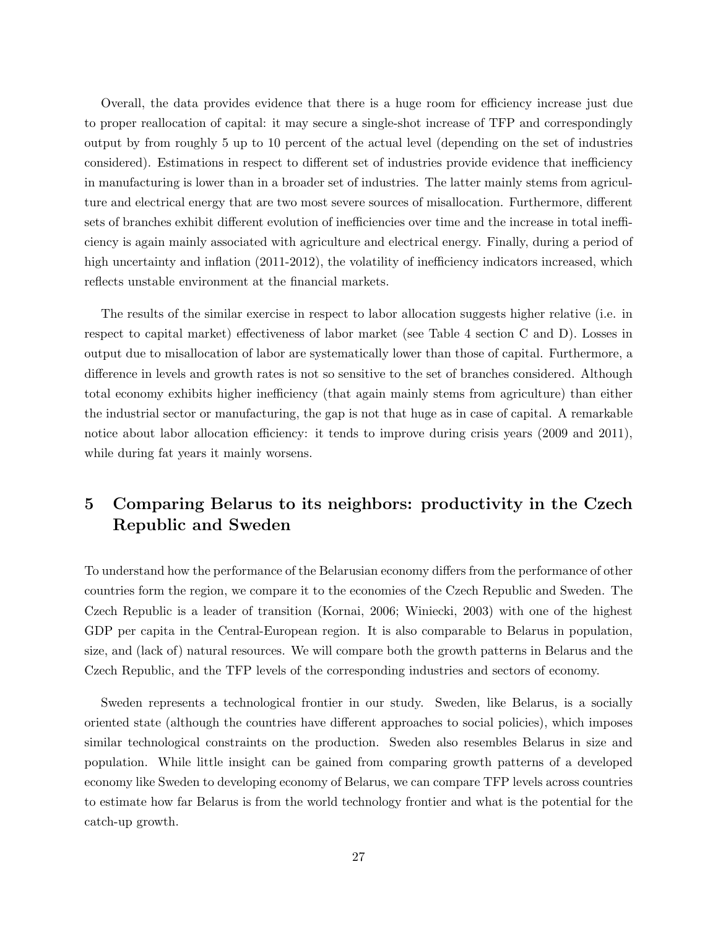Overall, the data provides evidence that there is a huge room for efficiency increase just due to proper reallocation of capital: it may secure a single-shot increase of TFP and correspondingly output by from roughly 5 up to 10 percent of the actual level (depending on the set of industries considered). Estimations in respect to different set of industries provide evidence that inefficiency in manufacturing is lower than in a broader set of industries. The latter mainly stems from agriculture and electrical energy that are two most severe sources of misallocation. Furthermore, different sets of branches exhibit different evolution of inefficiencies over time and the increase in total inefficiency is again mainly associated with agriculture and electrical energy. Finally, during a period of high uncertainty and inflation (2011-2012), the volatility of inefficiency indicators increased, which reflects unstable environment at the financial markets.

The results of the similar exercise in respect to labor allocation suggests higher relative (i.e. in respect to capital market) effectiveness of labor market (see Table 4 section C and D). Losses in output due to misallocation of labor are systematically lower than those of capital. Furthermore, a difference in levels and growth rates is not so sensitive to the set of branches considered. Although total economy exhibits higher inefficiency (that again mainly stems from agriculture) than either the industrial sector or manufacturing, the gap is not that huge as in case of capital. A remarkable notice about labor allocation efficiency: it tends to improve during crisis years (2009 and 2011), while during fat years it mainly worsens.

## 5 Comparing Belarus to its neighbors: productivity in the Czech Republic and Sweden

To understand how the performance of the Belarusian economy differs from the performance of other countries form the region, we compare it to the economies of the Czech Republic and Sweden. The Czech Republic is a leader of transition (Kornai, 2006; Winiecki, 2003) with one of the highest GDP per capita in the Central-European region. It is also comparable to Belarus in population, size, and (lack of) natural resources. We will compare both the growth patterns in Belarus and the Czech Republic, and the TFP levels of the corresponding industries and sectors of economy.

Sweden represents a technological frontier in our study. Sweden, like Belarus, is a socially oriented state (although the countries have different approaches to social policies), which imposes similar technological constraints on the production. Sweden also resembles Belarus in size and population. While little insight can be gained from comparing growth patterns of a developed economy like Sweden to developing economy of Belarus, we can compare TFP levels across countries to estimate how far Belarus is from the world technology frontier and what is the potential for the catch-up growth.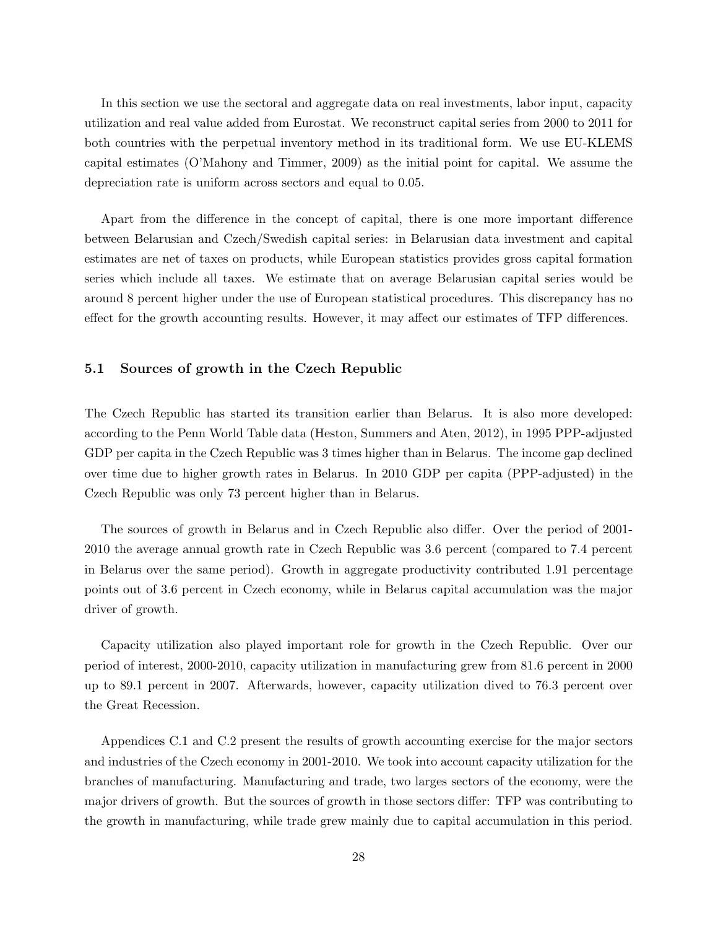In this section we use the sectoral and aggregate data on real investments, labor input, capacity utilization and real value added from Eurostat. We reconstruct capital series from 2000 to 2011 for both countries with the perpetual inventory method in its traditional form. We use EU-KLEMS capital estimates (O'Mahony and Timmer, 2009) as the initial point for capital. We assume the depreciation rate is uniform across sectors and equal to 0.05.

Apart from the difference in the concept of capital, there is one more important difference between Belarusian and Czech/Swedish capital series: in Belarusian data investment and capital estimates are net of taxes on products, while European statistics provides gross capital formation series which include all taxes. We estimate that on average Belarusian capital series would be around 8 percent higher under the use of European statistical procedures. This discrepancy has no effect for the growth accounting results. However, it may affect our estimates of TFP differences.

#### 5.1 Sources of growth in the Czech Republic

The Czech Republic has started its transition earlier than Belarus. It is also more developed: according to the Penn World Table data (Heston, Summers and Aten, 2012), in 1995 PPP-adjusted GDP per capita in the Czech Republic was 3 times higher than in Belarus. The income gap declined over time due to higher growth rates in Belarus. In 2010 GDP per capita (PPP-adjusted) in the Czech Republic was only 73 percent higher than in Belarus.

The sources of growth in Belarus and in Czech Republic also differ. Over the period of 2001- 2010 the average annual growth rate in Czech Republic was 3.6 percent (compared to 7.4 percent in Belarus over the same period). Growth in aggregate productivity contributed 1.91 percentage points out of 3.6 percent in Czech economy, while in Belarus capital accumulation was the major driver of growth.

Capacity utilization also played important role for growth in the Czech Republic. Over our period of interest, 2000-2010, capacity utilization in manufacturing grew from 81.6 percent in 2000 up to 89.1 percent in 2007. Afterwards, however, capacity utilization dived to 76.3 percent over the Great Recession.

Appendices C.1 and C.2 present the results of growth accounting exercise for the major sectors and industries of the Czech economy in 2001-2010. We took into account capacity utilization for the branches of manufacturing. Manufacturing and trade, two larges sectors of the economy, were the major drivers of growth. But the sources of growth in those sectors differ: TFP was contributing to the growth in manufacturing, while trade grew mainly due to capital accumulation in this period.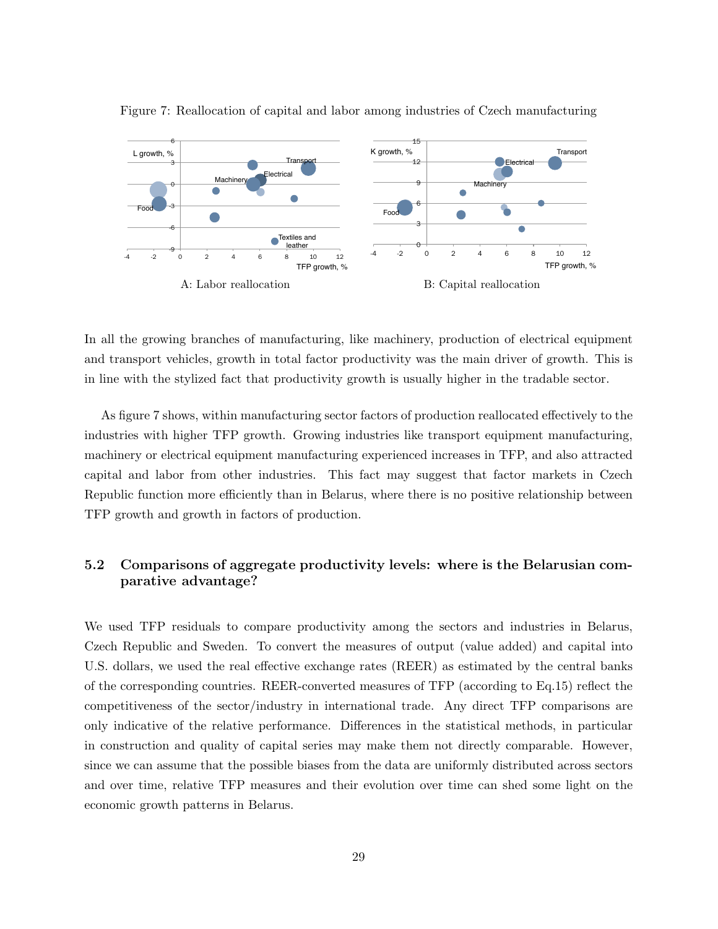

Figure 7: Reallocation of capital and labor among industries of Czech manufacturing

In all the growing branches of manufacturing, like machinery, production of electrical equipment and transport vehicles, growth in total factor productivity was the main driver of growth. This is in line with the stylized fact that productivity growth is usually higher in the tradable sector.

As figure 7 shows, within manufacturing sector factors of production reallocated effectively to the industries with higher TFP growth. Growing industries like transport equipment manufacturing, machinery or electrical equipment manufacturing experienced increases in TFP, and also attracted capital and labor from other industries. This fact may suggest that factor markets in Czech Republic function more efficiently than in Belarus, where there is no positive relationship between TFP growth and growth in factors of production.

### 5.2 Comparisons of aggregate productivity levels: where is the Belarusian comparative advantage?

We used TFP residuals to compare productivity among the sectors and industries in Belarus, Czech Republic and Sweden. To convert the measures of output (value added) and capital into U.S. dollars, we used the real effective exchange rates (REER) as estimated by the central banks of the corresponding countries. REER-converted measures of TFP (according to Eq.15) reflect the competitiveness of the sector/industry in international trade. Any direct TFP comparisons are only indicative of the relative performance. Differences in the statistical methods, in particular in construction and quality of capital series may make them not directly comparable. However, since we can assume that the possible biases from the data are uniformly distributed across sectors and over time, relative TFP measures and their evolution over time can shed some light on the economic growth patterns in Belarus.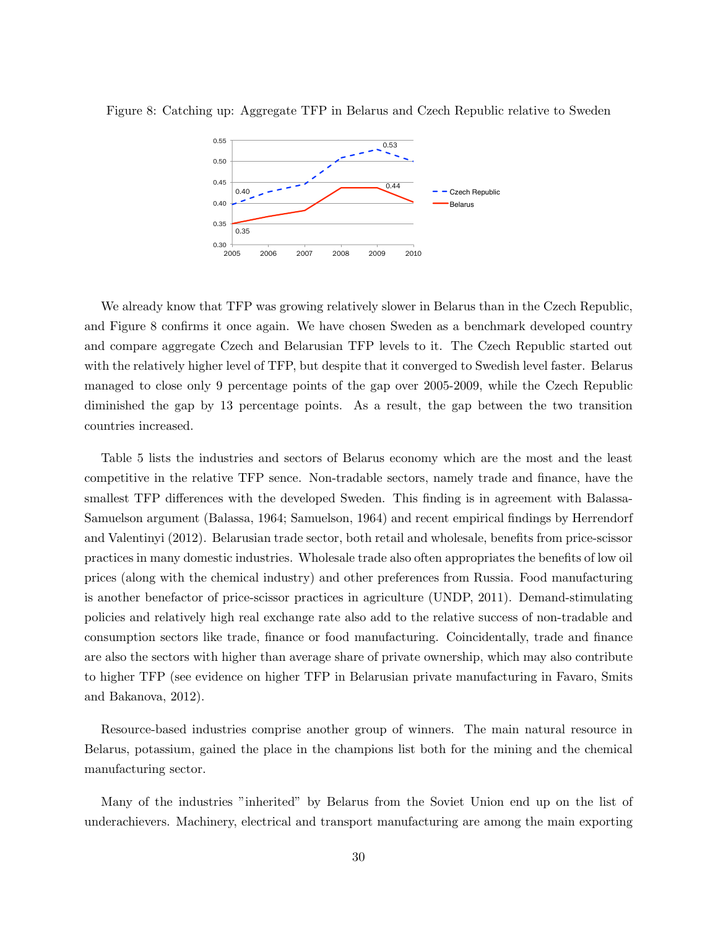



We already know that TFP was growing relatively slower in Belarus than in the Czech Republic, and Figure 8 confirms it once again. We have chosen Sweden as a benchmark developed country and compare aggregate Czech and Belarusian TFP levels to it. The Czech Republic started out with the relatively higher level of TFP, but despite that it converged to Swedish level faster. Belarus managed to close only 9 percentage points of the gap over 2005-2009, while the Czech Republic diminished the gap by 13 percentage points. As a result, the gap between the two transition countries increased.

Table 5 lists the industries and sectors of Belarus economy which are the most and the least competitive in the relative TFP sence. Non-tradable sectors, namely trade and finance, have the smallest TFP differences with the developed Sweden. This finding is in agreement with Balassa-Samuelson argument (Balassa, 1964; Samuelson, 1964) and recent empirical findings by Herrendorf and Valentinyi (2012). Belarusian trade sector, both retail and wholesale, benefits from price-scissor practices in many domestic industries. Wholesale trade also often appropriates the benefits of low oil prices (along with the chemical industry) and other preferences from Russia. Food manufacturing is another benefactor of price-scissor practices in agriculture (UNDP, 2011). Demand-stimulating policies and relatively high real exchange rate also add to the relative success of non-tradable and consumption sectors like trade, finance or food manufacturing. Coincidentally, trade and finance are also the sectors with higher than average share of private ownership, which may also contribute to higher TFP (see evidence on higher TFP in Belarusian private manufacturing in Favaro, Smits and Bakanova, 2012).

Resource-based industries comprise another group of winners. The main natural resource in Belarus, potassium, gained the place in the champions list both for the mining and the chemical manufacturing sector.

Many of the industries "inherited" by Belarus from the Soviet Union end up on the list of underachievers. Machinery, electrical and transport manufacturing are among the main exporting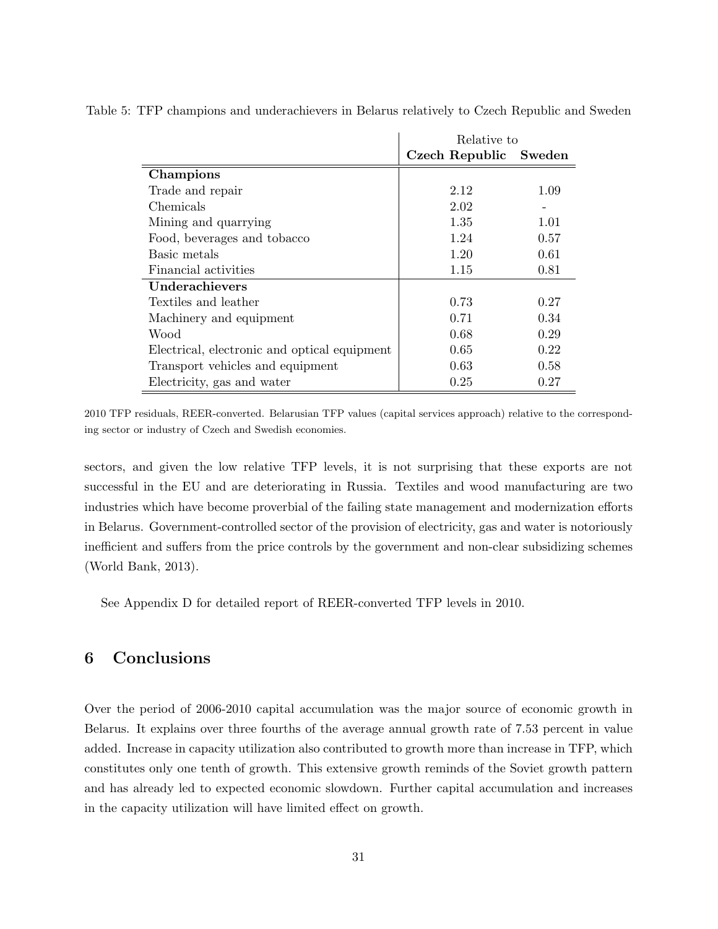|                                              | Relative to           |      |
|----------------------------------------------|-----------------------|------|
|                                              | Czech Republic Sweden |      |
| Champions                                    |                       |      |
| Trade and repair                             | 2.12                  | 1.09 |
| Chemicals                                    | 2.02                  |      |
| Mining and quarrying                         | 1.35                  | 1.01 |
| Food, beverages and tobacco                  | 1.24                  | 0.57 |
| Basic metals                                 | 1.20                  | 0.61 |
| Financial activities                         | 1.15                  | 0.81 |
| Underachievers                               |                       |      |
| Textiles and leather                         | 0.73                  | 0.27 |
| Machinery and equipment                      | 0.71                  | 0.34 |
| Wood                                         | 0.68                  | 0.29 |
| Electrical, electronic and optical equipment | 0.65                  | 0.22 |
| Transport vehicles and equipment             | 0.63                  | 0.58 |
| Electricity, gas and water                   | 0.25                  | 0.27 |

Table 5: TFP champions and underachievers in Belarus relatively to Czech Republic and Sweden

2010 TFP residuals, REER-converted. Belarusian TFP values (capital services approach) relative to the corresponding sector or industry of Czech and Swedish economies.

sectors, and given the low relative TFP levels, it is not surprising that these exports are not successful in the EU and are deteriorating in Russia. Textiles and wood manufacturing are two industries which have become proverbial of the failing state management and modernization efforts in Belarus. Government-controlled sector of the provision of electricity, gas and water is notoriously inefficient and suffers from the price controls by the government and non-clear subsidizing schemes (World Bank, 2013).

See Appendix D for detailed report of REER-converted TFP levels in 2010.

### 6 Conclusions

Over the period of 2006-2010 capital accumulation was the major source of economic growth in Belarus. It explains over three fourths of the average annual growth rate of 7.53 percent in value added. Increase in capacity utilization also contributed to growth more than increase in TFP, which constitutes only one tenth of growth. This extensive growth reminds of the Soviet growth pattern and has already led to expected economic slowdown. Further capital accumulation and increases in the capacity utilization will have limited effect on growth.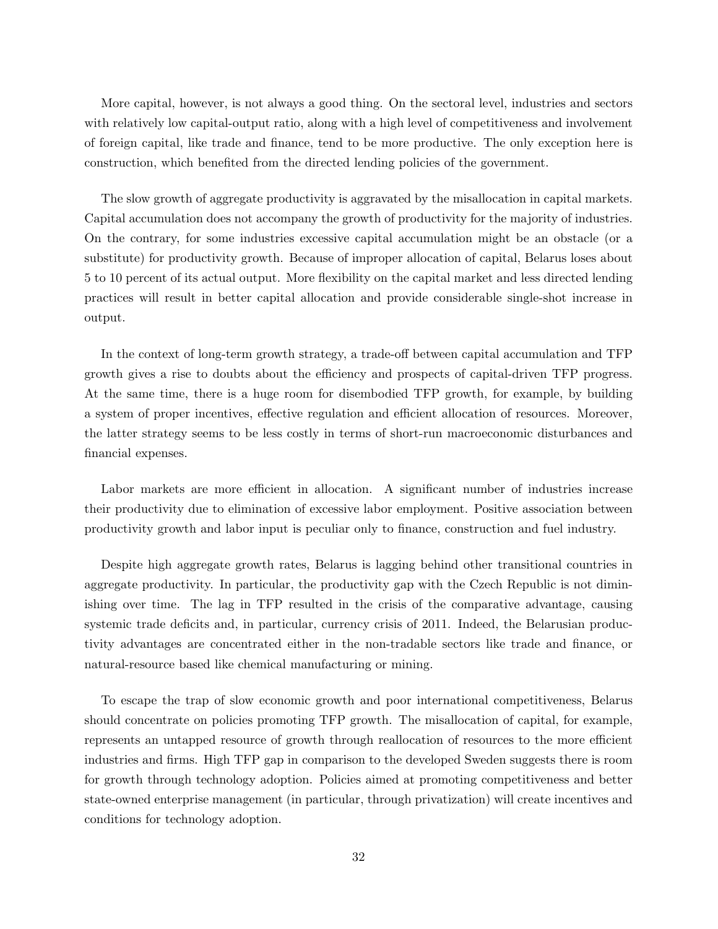More capital, however, is not always a good thing. On the sectoral level, industries and sectors with relatively low capital-output ratio, along with a high level of competitiveness and involvement of foreign capital, like trade and finance, tend to be more productive. The only exception here is construction, which benefited from the directed lending policies of the government.

The slow growth of aggregate productivity is aggravated by the misallocation in capital markets. Capital accumulation does not accompany the growth of productivity for the majority of industries. On the contrary, for some industries excessive capital accumulation might be an obstacle (or a substitute) for productivity growth. Because of improper allocation of capital, Belarus loses about 5 to 10 percent of its actual output. More flexibility on the capital market and less directed lending practices will result in better capital allocation and provide considerable single-shot increase in output.

In the context of long-term growth strategy, a trade-off between capital accumulation and TFP growth gives a rise to doubts about the efficiency and prospects of capital-driven TFP progress. At the same time, there is a huge room for disembodied TFP growth, for example, by building a system of proper incentives, effective regulation and efficient allocation of resources. Moreover, the latter strategy seems to be less costly in terms of short-run macroeconomic disturbances and financial expenses.

Labor markets are more efficient in allocation. A significant number of industries increase their productivity due to elimination of excessive labor employment. Positive association between productivity growth and labor input is peculiar only to finance, construction and fuel industry.

Despite high aggregate growth rates, Belarus is lagging behind other transitional countries in aggregate productivity. In particular, the productivity gap with the Czech Republic is not diminishing over time. The lag in TFP resulted in the crisis of the comparative advantage, causing systemic trade deficits and, in particular, currency crisis of 2011. Indeed, the Belarusian productivity advantages are concentrated either in the non-tradable sectors like trade and finance, or natural-resource based like chemical manufacturing or mining.

To escape the trap of slow economic growth and poor international competitiveness, Belarus should concentrate on policies promoting TFP growth. The misallocation of capital, for example, represents an untapped resource of growth through reallocation of resources to the more efficient industries and firms. High TFP gap in comparison to the developed Sweden suggests there is room for growth through technology adoption. Policies aimed at promoting competitiveness and better state-owned enterprise management (in particular, through privatization) will create incentives and conditions for technology adoption.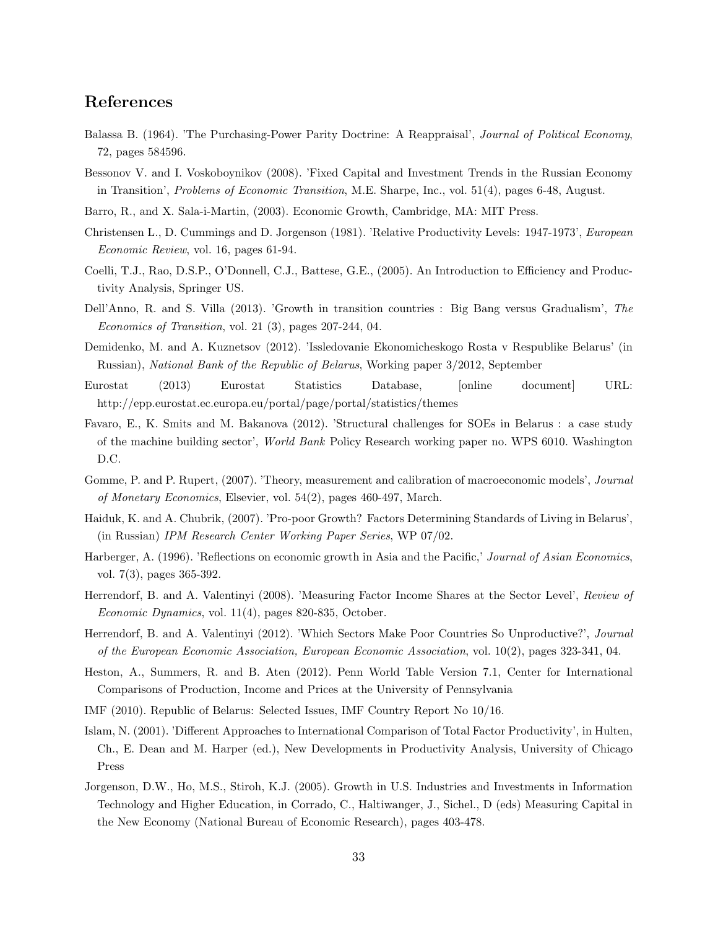### References

- Balassa B. (1964). 'The Purchasing-Power Parity Doctrine: A Reappraisal', Journal of Political Economy, 72, pages 584596.
- Bessonov V. and I. Voskoboynikov (2008). 'Fixed Capital and Investment Trends in the Russian Economy in Transition', Problems of Economic Transition, M.E. Sharpe, Inc., vol. 51(4), pages 6-48, August.
- Barro, R., and X. Sala-i-Martin, (2003). Economic Growth, Cambridge, MA: MIT Press.
- Christensen L., D. Cummings and D. Jorgenson (1981). 'Relative Productivity Levels: 1947-1973', European Economic Review, vol. 16, pages 61-94.
- Coelli, T.J., Rao, D.S.P., O'Donnell, C.J., Battese, G.E., (2005). An Introduction to Efficiency and Productivity Analysis, Springer US.
- Dell'Anno, R. and S. Villa (2013). 'Growth in transition countries : Big Bang versus Gradualism', The Economics of Transition, vol. 21 (3), pages 207-244, 04.
- Demidenko, M. and A. Kuznetsov (2012). 'Issledovanie Ekonomicheskogo Rosta v Respublike Belarus' (in Russian), National Bank of the Republic of Belarus, Working paper 3/2012, September
- Eurostat (2013) Eurostat Statistics Database, [online document] URL: http://epp.eurostat.ec.europa.eu/portal/page/portal/statistics/themes
- Favaro, E., K. Smits and M. Bakanova (2012). 'Structural challenges for SOEs in Belarus : a case study of the machine building sector', World Bank Policy Research working paper no. WPS 6010. Washington D.C.
- Gomme, P. and P. Rupert, (2007). 'Theory, measurement and calibration of macroeconomic models', Journal of Monetary Economics, Elsevier, vol. 54(2), pages 460-497, March.
- Haiduk, K. and A. Chubrik, (2007). 'Pro-poor Growth? Factors Determining Standards of Living in Belarus', (in Russian) IPM Research Center Working Paper Series, WP 07/02.
- Harberger, A. (1996). 'Reflections on economic growth in Asia and the Pacific,' Journal of Asian Economics. vol. 7(3), pages 365-392.
- Herrendorf, B. and A. Valentinyi (2008). 'Measuring Factor Income Shares at the Sector Level', Review of Economic Dynamics, vol. 11(4), pages 820-835, October.
- Herrendorf, B. and A. Valentinyi (2012). 'Which Sectors Make Poor Countries So Unproductive?', Journal of the European Economic Association, European Economic Association, vol. 10(2), pages 323-341, 04.
- Heston, A., Summers, R. and B. Aten (2012). Penn World Table Version 7.1, Center for International Comparisons of Production, Income and Prices at the University of Pennsylvania
- IMF (2010). Republic of Belarus: Selected Issues, IMF Country Report No 10/16.
- Islam, N. (2001). 'Different Approaches to International Comparison of Total Factor Productivity', in Hulten, Ch., E. Dean and M. Harper (ed.), New Developments in Productivity Analysis, University of Chicago Press
- Jorgenson, D.W., Ho, M.S., Stiroh, K.J. (2005). Growth in U.S. Industries and Investments in Information Technology and Higher Education, in Corrado, C., Haltiwanger, J., Sichel., D (eds) Measuring Capital in the New Economy (National Bureau of Economic Research), pages 403-478.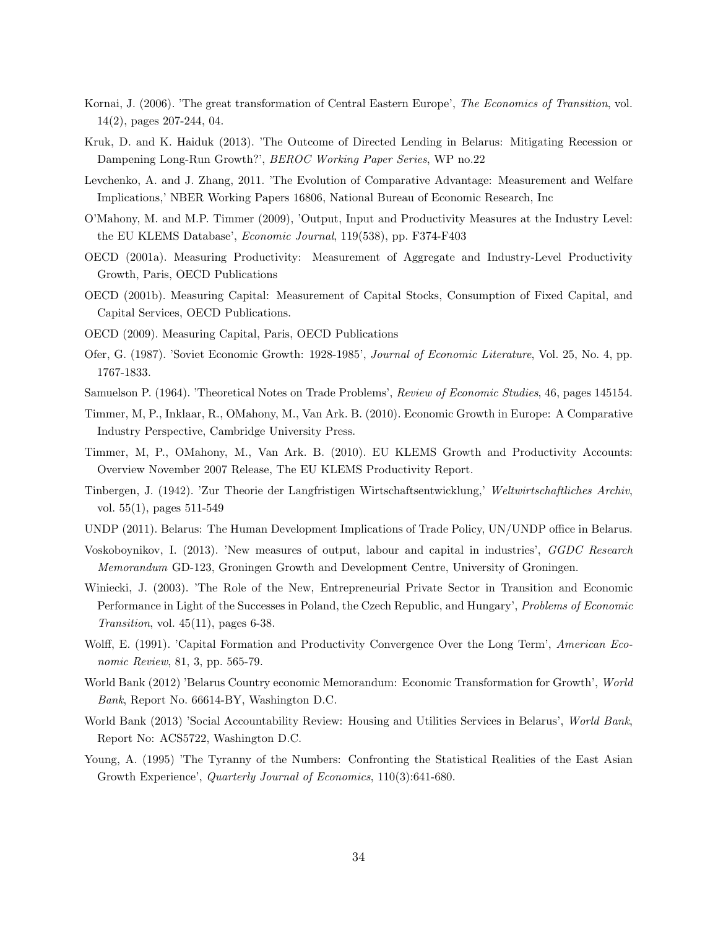- Kornai, J. (2006). 'The great transformation of Central Eastern Europe', The Economics of Transition, vol. 14(2), pages 207-244, 04.
- Kruk, D. and K. Haiduk (2013). 'The Outcome of Directed Lending in Belarus: Mitigating Recession or Dampening Long-Run Growth?', BEROC Working Paper Series, WP no.22
- Levchenko, A. and J. Zhang, 2011. 'The Evolution of Comparative Advantage: Measurement and Welfare Implications,' NBER Working Papers 16806, National Bureau of Economic Research, Inc
- O'Mahony, M. and M.P. Timmer (2009), 'Output, Input and Productivity Measures at the Industry Level: the EU KLEMS Database', Economic Journal, 119(538), pp. F374-F403
- OECD (2001a). Measuring Productivity: Measurement of Aggregate and Industry-Level Productivity Growth, Paris, OECD Publications
- OECD (2001b). Measuring Capital: Measurement of Capital Stocks, Consumption of Fixed Capital, and Capital Services, OECD Publications.
- OECD (2009). Measuring Capital, Paris, OECD Publications
- Ofer, G. (1987). 'Soviet Economic Growth: 1928-1985', Journal of Economic Literature, Vol. 25, No. 4, pp. 1767-1833.
- Samuelson P. (1964). 'Theoretical Notes on Trade Problems', Review of Economic Studies, 46, pages 145154.
- Timmer, M, P., Inklaar, R., OMahony, M., Van Ark. B. (2010). Economic Growth in Europe: A Comparative Industry Perspective, Cambridge University Press.
- Timmer, M, P., OMahony, M., Van Ark. B. (2010). EU KLEMS Growth and Productivity Accounts: Overview November 2007 Release, The EU KLEMS Productivity Report.
- Tinbergen, J. (1942). 'Zur Theorie der Langfristigen Wirtschaftsentwicklung,' Weltwirtschaftliches Archiv, vol. 55(1), pages 511-549
- UNDP (2011). Belarus: The Human Development Implications of Trade Policy, UN/UNDP office in Belarus.
- Voskoboynikov, I. (2013). 'New measures of output, labour and capital in industries', GGDC Research Memorandum GD-123, Groningen Growth and Development Centre, University of Groningen.
- Winiecki, J. (2003). 'The Role of the New, Entrepreneurial Private Sector in Transition and Economic Performance in Light of the Successes in Poland, the Czech Republic, and Hungary', Problems of Economic Transition, vol.  $45(11)$ , pages 6-38.
- Wolff, E. (1991). 'Capital Formation and Productivity Convergence Over the Long Term', American Economic Review, 81, 3, pp. 565-79.
- World Bank (2012) 'Belarus Country economic Memorandum: Economic Transformation for Growth', World Bank, Report No. 66614-BY, Washington D.C.
- World Bank (2013) 'Social Accountability Review: Housing and Utilities Services in Belarus', World Bank, Report No: ACS5722, Washington D.C.
- Young, A. (1995) 'The Tyranny of the Numbers: Confronting the Statistical Realities of the East Asian Growth Experience', *Quarterly Journal of Economics*, 110(3):641-680.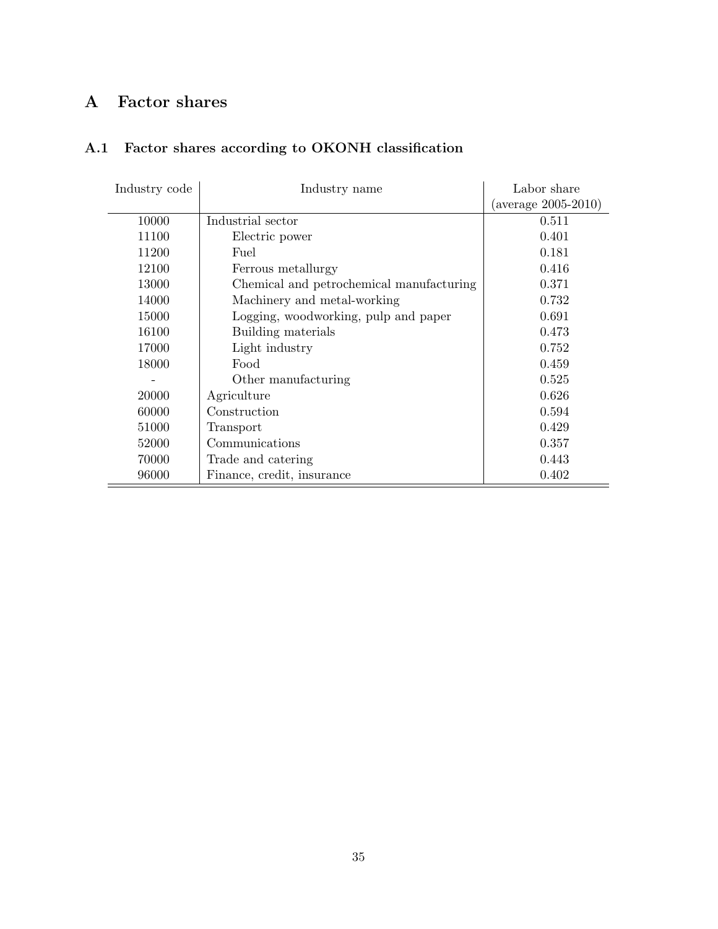# A Factor shares

## A.1 Factor shares according to OKONH classification

| Industry code | Industry name                            | Labor share              |
|---------------|------------------------------------------|--------------------------|
|               |                                          | (average $2005 - 2010$ ) |
| 10000         | Industrial sector                        | 0.511                    |
| 11100         | Electric power                           | 0.401                    |
| 11200         | Fuel                                     | 0.181                    |
| 12100         | Ferrous metallurgy                       | 0.416                    |
| 13000         | Chemical and petrochemical manufacturing | 0.371                    |
| 14000         | Machinery and metal-working              | 0.732                    |
| 15000         | Logging, woodworking, pulp and paper     | 0.691                    |
| 16100         | Building materials                       | 0.473                    |
| 17000         | Light industry                           | 0.752                    |
| 18000         | Food                                     | 0.459                    |
|               | Other manufacturing                      | 0.525                    |
| 20000         | Agriculture                              | 0.626                    |
| 60000         | Construction                             | 0.594                    |
| 51000         | Transport                                | 0.429                    |
| 52000         | Communications                           | 0.357                    |
| 70000         | Trade and catering                       | 0.443                    |
| 96000         | Finance, credit, insurance               | 0.402                    |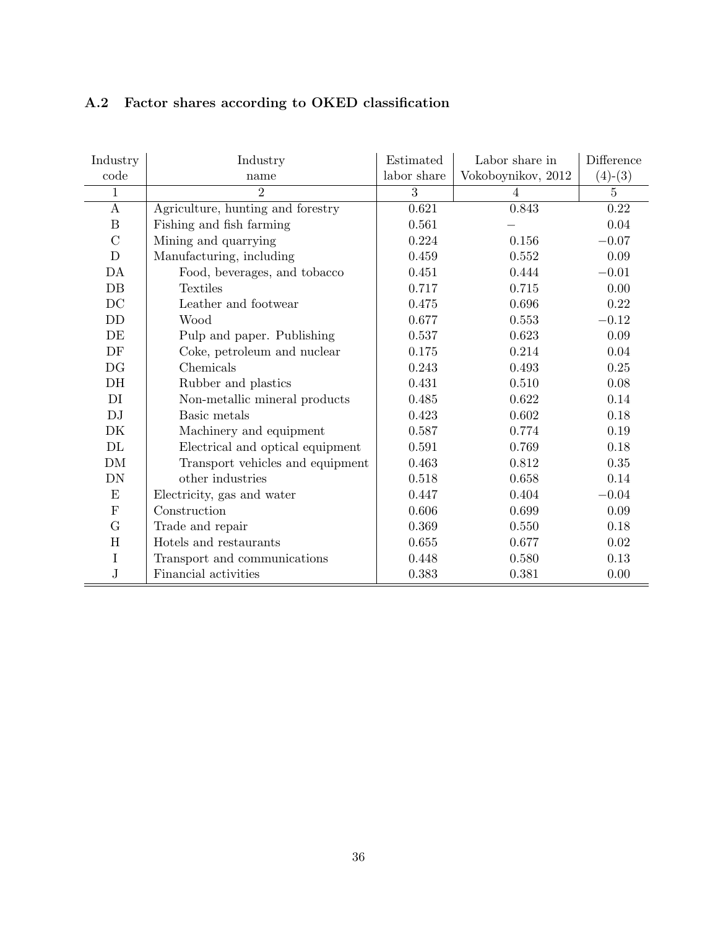|  |  |  |  |  |  | A.2 Factor shares according to OKED classification |
|--|--|--|--|--|--|----------------------------------------------------|
|--|--|--|--|--|--|----------------------------------------------------|

| Industry         | Industry                          | Estimated   | Labor share in     | Difference |
|------------------|-----------------------------------|-------------|--------------------|------------|
| code             | name                              | labor share | Vokoboynikov, 2012 | $(4)-(3)$  |
| 1                | $\overline{2}$                    | 3           | $\overline{4}$     | 5          |
| $\mathbf{A}$     | Agriculture, hunting and forestry | 0.621       | 0.843              | $0.22\,$   |
| $\boldsymbol{B}$ | Fishing and fish farming          | 0.561       |                    | 0.04       |
| $\mathcal{C}$    | Mining and quarrying              | 0.224       | 0.156              | $-0.07$    |
| $\mathbf D$      | Manufacturing, including          | 0.459       | 0.552              | 0.09       |
| DA               | Food, beverages, and tobacco      | 0.451       | 0.444              | $-0.01$    |
| DB               | <b>Textiles</b>                   | 0.717       | 0.715              | 0.00       |
| DC               | Leather and footwear              | 0.475       | 0.696              | 0.22       |
| DD               | Wood                              | 0.677       | 0.553              | $-0.12$    |
| DE               | Pulp and paper. Publishing        | 0.537       | 0.623              | 0.09       |
| DF               | Coke, petroleum and nuclear       | 0.175       | 0.214              | 0.04       |
| DG               | Chemicals                         | 0.243       | 0.493              | 0.25       |
| DH               | Rubber and plastics               | 0.431       | 0.510              | 0.08       |
| DI               | Non-metallic mineral products     | 0.485       | 0.622              | 0.14       |
| DJ               | Basic metals                      | 0.423       | 0.602              | 0.18       |
| DK               | Machinery and equipment           | 0.587       | 0.774              | 0.19       |
| $\rm DL$         | Electrical and optical equipment  | 0.591       | 0.769              | 0.18       |
| ${\rm DM}$       | Transport vehicles and equipment  | 0.463       | 0.812              | 0.35       |
| DN               | other industries                  | 0.518       | 0.658              | 0.14       |
| E                | Electricity, gas and water        | 0.447       | 0.404              | $-0.04$    |
| ${\bf F}$        | Construction                      | 0.606       | 0.699              | 0.09       |
| G                | Trade and repair                  | 0.369       | 0.550              | 0.18       |
| H                | Hotels and restaurants            | 0.655       | 0.677              | 0.02       |
| $\bf I$          | Transport and communications      | 0.448       | 0.580              | 0.13       |
| $\bf J$          | Financial activities              | 0.383       | 0.381              | 0.00       |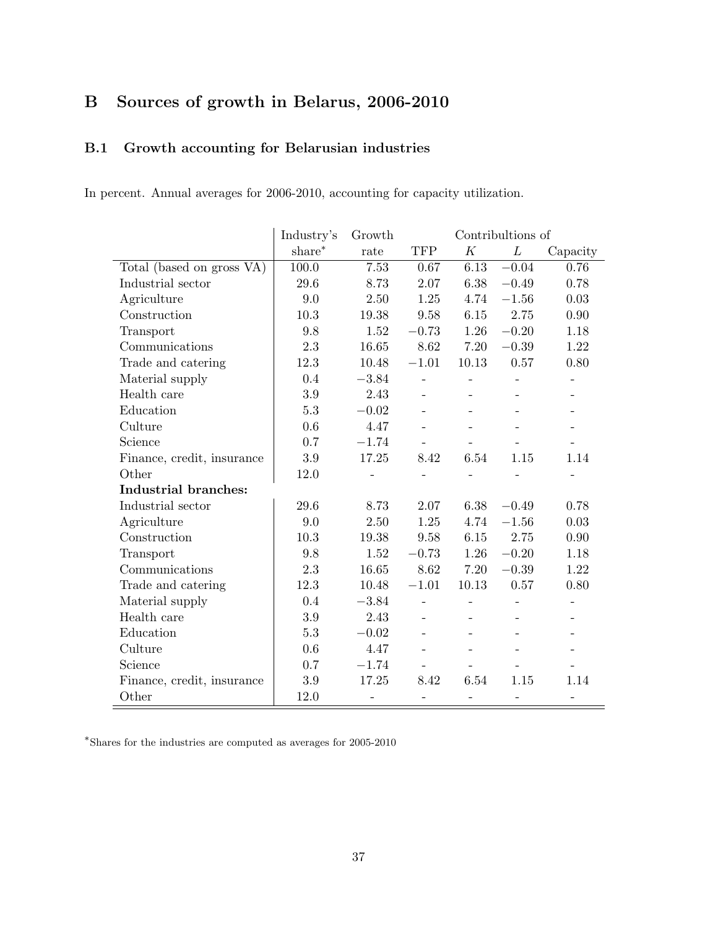# B Sources of growth in Belarus, 2006-2010

### B.1 Growth accounting for Belarusian industries

In percent. Annual averages for 2006-2010, accounting for capacity utilization.

|                            | Industry's | Growth  |                          |                          | Contribultions of        |                   |
|----------------------------|------------|---------|--------------------------|--------------------------|--------------------------|-------------------|
|                            | share*     | rate    | <b>TFP</b>               | K                        | L                        | Capacity          |
| Total (based on gross VA)  | 100.0      | 7.53    | 0.67                     | 6.13                     | $-0.04$                  | 0.76              |
| Industrial sector          | 29.6       | 8.73    | 2.07                     | 6.38                     | $-0.49$                  | 0.78              |
| Agriculture                | 9.0        | 2.50    | 1.25                     | 4.74                     | $-1.56$                  | 0.03              |
| Construction               | 10.3       | 19.38   | 9.58                     | 6.15                     | 2.75                     | 0.90              |
| Transport                  | 9.8        | 1.52    | $-0.73$                  | 1.26                     | $-0.20$                  | 1.18              |
| Communications             | 2.3        | 16.65   | 8.62                     | 7.20                     | $-0.39$                  | 1.22              |
| Trade and catering         | 12.3       | 10.48   | $-1.01$                  | 10.13                    | 0.57                     | 0.80              |
| Material supply            | 0.4        | $-3.84$ | $\overline{a}$           |                          |                          |                   |
| Health care                | 3.9        | 2.43    | $\overline{a}$           |                          |                          |                   |
| Education                  | 5.3        | $-0.02$ |                          |                          |                          |                   |
| Culture                    | 0.6        | 4.47    |                          |                          |                          |                   |
| Science                    | 0.7        | $-1.74$ |                          |                          |                          |                   |
| Finance, credit, insurance | 3.9        | 17.25   | 8.42                     | 6.54                     | 1.15                     | 1.14              |
| Other                      | 12.0       |         |                          |                          |                          |                   |
| Industrial branches:       |            |         |                          |                          |                          |                   |
| Industrial sector          | 29.6       | 8.73    | 2.07                     | 6.38                     | $-0.49$                  | 0.78              |
| Agriculture                | 9.0        | 2.50    | 1.25                     | 4.74                     | $-1.56$                  | 0.03              |
| Construction               | 10.3       | 19.38   | 9.58                     | 6.15                     | 2.75                     | 0.90              |
| Transport                  | 9.8        | 1.52    | $-0.73$                  | 1.26                     | $-0.20$                  | 1.18              |
| Communications             | 2.3        | 16.65   | 8.62                     | 7.20                     | $-0.39$                  | 1.22              |
| Trade and catering         | 12.3       | 10.48   | $-1.01$                  | 10.13                    | 0.57                     | 0.80              |
| Material supply            | 0.4        | $-3.84$ | $\bar{\phantom{a}}$      | $\overline{\phantom{0}}$ | $\overline{a}$           |                   |
| Health care                | 3.9        | 2.43    | $\overline{\phantom{0}}$ |                          |                          |                   |
| Education                  | 5.3        | $-0.02$ | $\overline{\phantom{a}}$ |                          |                          |                   |
| Culture                    | 0.6        | 4.47    |                          |                          |                          |                   |
| Science                    | 0.7        | $-1.74$ | $\overline{\phantom{a}}$ |                          |                          |                   |
| Finance, credit, insurance | 3.9        | 17.25   | 8.42                     | 6.54                     | 1.15                     | 1.14              |
| Other                      | 12.0       | -       | $\overline{\phantom{a}}$ | $\overline{\phantom{0}}$ | $\overline{\phantom{0}}$ | $\qquad \qquad -$ |

∗ Shares for the industries are computed as averages for 2005-2010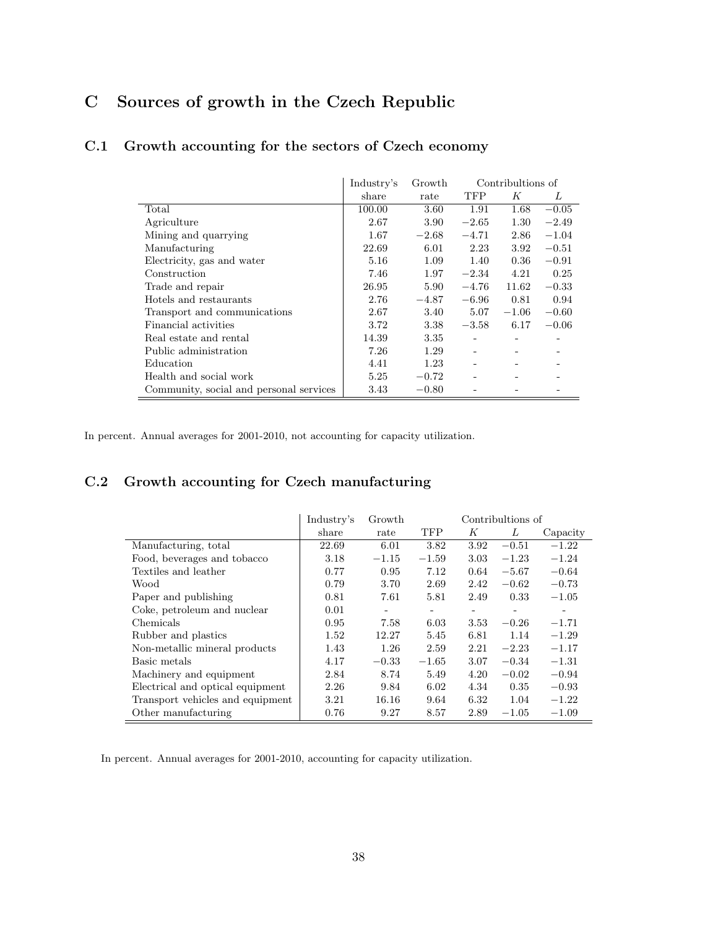# C Sources of growth in the Czech Republic

|                                         | Industry's | Growth  | Contribultions of            |                              |         |
|-----------------------------------------|------------|---------|------------------------------|------------------------------|---------|
|                                         | share      | rate    | TFP                          | K                            | L       |
| Total                                   | 100.00     | 3.60    | 1.91                         | 1.68                         | $-0.05$ |
| Agriculture                             | 2.67       | 3.90    | $-2.65$                      | 1.30                         | $-2.49$ |
| Mining and quarrying                    | 1.67       | $-2.68$ | $-4.71$                      | 2.86                         | $-1.04$ |
| Manufacturing                           | 22.69      | 6.01    | 2.23                         | 3.92                         | $-0.51$ |
| Electricity, gas and water              | 5.16       | 1.09    | 1.40                         | 0.36                         | $-0.91$ |
| Construction                            | 7.46       | 1.97    | $-2.34$                      | 4.21                         | 0.25    |
| Trade and repair                        | 26.95      | 5.90    | $-4.76$                      | 11.62                        | $-0.33$ |
| Hotels and restaurants                  | 2.76       | $-4.87$ | $-6.96$                      | 0.81                         | 0.94    |
| Transport and communications            | 2.67       | 3.40    | 5.07                         | $-1.06$                      | $-0.60$ |
| Financial activities                    | 3.72       | 3.38    | $-3.58$                      | 6.17                         | $-0.06$ |
| Real estate and rental                  | 14.39      | 3.35    | $\qquad \qquad \blacksquare$ | $\qquad \qquad \blacksquare$ | -       |
| Public administration                   | 7.26       | 1.29    |                              |                              |         |
| Education                               | 4.41       | 1.23    |                              |                              |         |
| Health and social work                  | 5.25       | $-0.72$ |                              |                              |         |
| Community, social and personal services | 3.43       | $-0.80$ |                              |                              |         |

### C.1 Growth accounting for the sectors of Czech economy

In percent. Annual averages for 2001-2010, not accounting for capacity utilization.

## C.2 Growth accounting for Czech manufacturing

|                                  | Industry's | Growth                   | Contribultions of        |                          |                   |          |
|----------------------------------|------------|--------------------------|--------------------------|--------------------------|-------------------|----------|
|                                  | share      | rate                     | <b>TFP</b>               | K                        | L                 | Capacity |
| Manufacturing, total             | 22.69      | 6.01                     | 3.82                     | 3.92                     | $-0.51$           | $-1.22$  |
| Food, beverages and tobacco      | 3.18       | $-1.15$                  | $-1.59$                  | 3.03                     | $-1.23$           | $-1.24$  |
| Textiles and leather             | 0.77       | 0.95                     | 7.12                     | 0.64                     | $-5.67$           | $-0.64$  |
| Wood                             | 0.79       | 3.70                     | 2.69                     | 2.42                     | $-0.62$           | $-0.73$  |
| Paper and publishing             | 0.81       | 7.61                     | 5.81                     | 2.49                     | 0.33              | $-1.05$  |
| Coke, petroleum and nuclear      | 0.01       | $\overline{\phantom{a}}$ | $\overline{\phantom{a}}$ | $\overline{\phantom{a}}$ | $\qquad \qquad -$ | ٠        |
| Chemicals                        | 0.95       | 7.58                     | 6.03                     | 3.53                     | $-0.26$           | $-1.71$  |
| Rubber and plastics              | 1.52       | 12.27                    | 5.45                     | 6.81                     | 1.14              | $-1.29$  |
| Non-metallic mineral products    | 1.43       | 1.26                     | 2.59                     | 2.21                     | $-2.23$           | $-1.17$  |
| Basic metals                     | 4.17       | $-0.33$                  | $-1.65$                  | 3.07                     | $-0.34$           | $-1.31$  |
| Machinery and equipment          | 2.84       | 8.74                     | 5.49                     | 4.20                     | $-0.02$           | $-0.94$  |
| Electrical and optical equipment | 2.26       | 9.84                     | 6.02                     | 4.34                     | 0.35              | $-0.93$  |
| Transport vehicles and equipment | 3.21       | 16.16                    | 9.64                     | 6.32                     | 1.04              | $-1.22$  |
| Other manufacturing              | 0.76       | 9.27                     | 8.57                     | 2.89                     | $-1.05$           | $-1.09$  |

In percent. Annual averages for 2001-2010, accounting for capacity utilization.